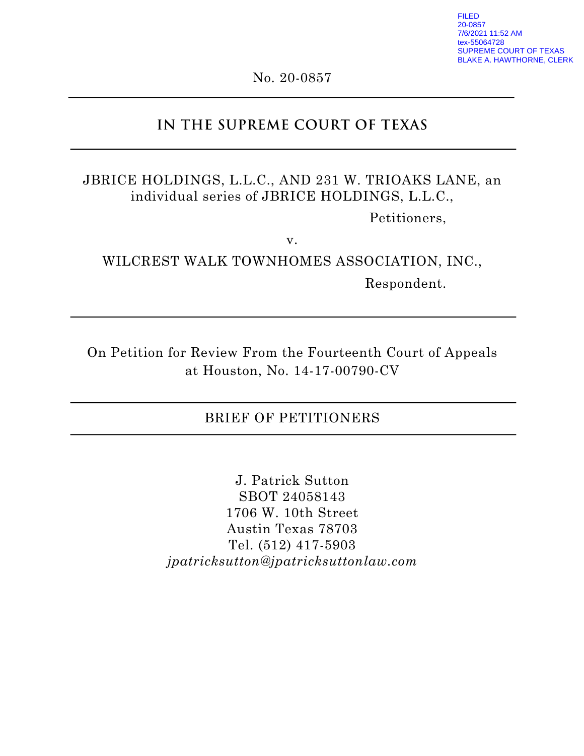FILED 20-0857 7/6/2021 11:52 AM ex-55064728 SUPREME COURT OF TEXAS BLAKE A. HAWTHORNE, CLERK

No. 20-0857

# **IN THE SUPREME COURT OF TEXAS**

# JBRICE HOLDINGS, L.L.C., AND 231 W. TRIOAKS LANE, an individual series of JBRICE HOLDINGS, L.L.C.,

Petitioners,

v.

WILCREST WALK TOWNHOMES ASSOCIATION, INC., Respondent.

On Petition for Review From the Fourteenth Court of Appeals at Houston, No. 14-17-00790-CV

## BRIEF OF PETITIONERS

J. Patrick Sutton SBOT 24058143 1706 W. 10th Street Austin Texas 78703 Tel. (512) 417-5903 *jpatricksutton@jpatricksuttonlaw.com*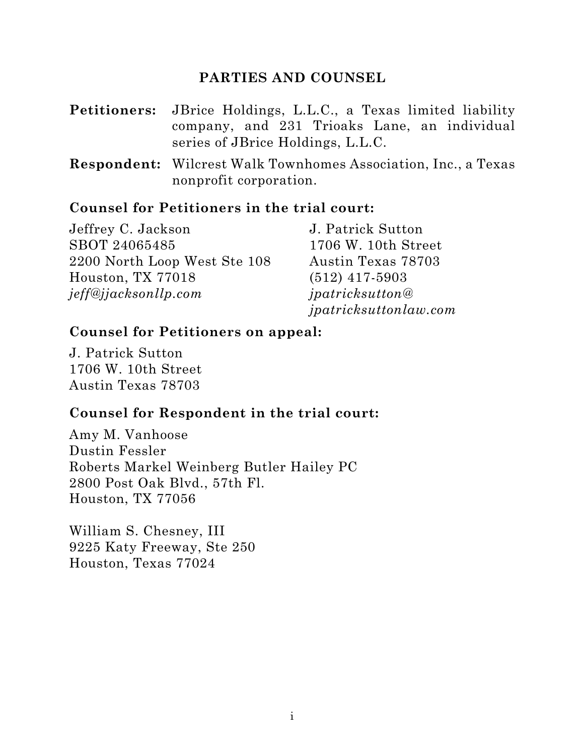## **PARTIES AND COUNSEL**

- **Petitioners:** JBrice Holdings, L.L.C., a Texas limited liability company, and 231 Trioaks Lane, an individual series of JBrice Holdings, L.L.C.
- **Respondent:** Wilcrest Walk Townhomes Association, Inc., a Texas nonprofit corporation.

## **Counsel for Petitioners in the trial court:**

| Jeffrey C. Jackson           | J. Patrick Sutton            |
|------------------------------|------------------------------|
| SBOT 24065485                | 1706 W. 10th Street          |
| 2200 North Loop West Ste 108 | Austin Texas 78703           |
| Houston, TX 77018            | $(512)$ 417-5903             |
| jeff@jjacksonllp.com         | ipatricksutton@              |
|                              | <i>jpatricksuttonlaw.com</i> |

## **Counsel for Petitioners on appeal:**

J. Patrick Sutton 1706 W. 10th Street Austin Texas 78703

## **Counsel for Respondent in the trial court:**

Amy M. Vanhoose Dustin Fessler Roberts Markel Weinberg Butler Hailey PC 2800 Post Oak Blvd., 57th Fl. Houston, TX 77056

William S. Chesney, III 9225 Katy Freeway, Ste 250 Houston, Texas 77024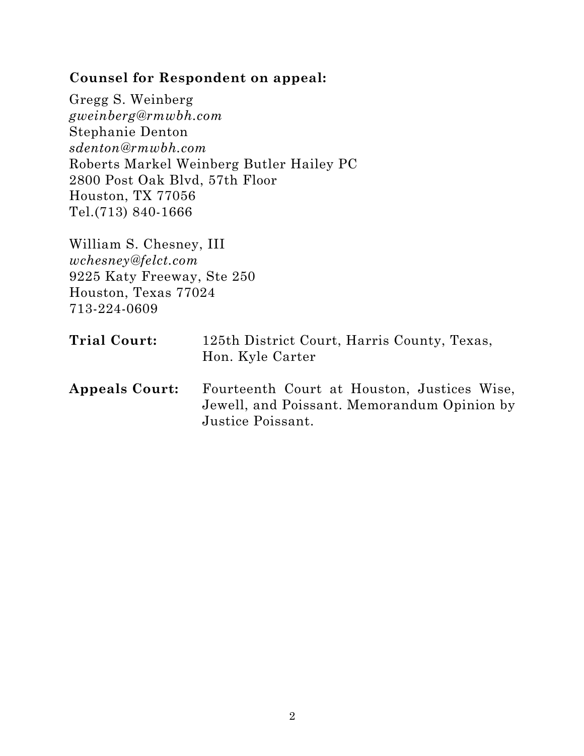## **Counsel for Respondent on appeal:**

Gregg S. Weinberg *gweinberg@rmwbh.com* Stephanie Denton *sdenton@rmwbh.com* Roberts Markel Weinberg Butler Hailey PC 2800 Post Oak Blvd, 57th Floor Houston, TX 77056 Tel.(713) 840-1666

William S. Chesney, III *wchesney@felct.com* 9225 Katy Freeway, Ste 250 Houston, Texas 77024 713-224-0609

| Trial Court:          | 125th District Court, Harris County, Texas,<br>Hon. Kyle Carter                                                 |  |  |
|-----------------------|-----------------------------------------------------------------------------------------------------------------|--|--|
| <b>Appeals Court:</b> | Fourteenth Court at Houston, Justices Wise,<br>Jewell, and Poissant. Memorandum Opinion by<br>Justice Poissant. |  |  |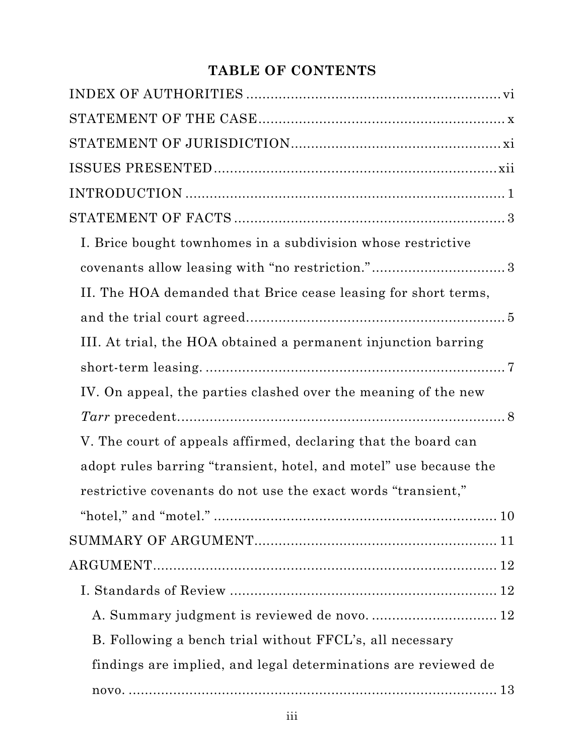# **TABLE OF CONTENTS**

| I. Brice bought townhomes in a subdivision whose restrictive      |
|-------------------------------------------------------------------|
|                                                                   |
| II. The HOA demanded that Brice cease leasing for short terms,    |
|                                                                   |
| III. At trial, the HOA obtained a permanent injunction barring    |
|                                                                   |
| IV. On appeal, the parties clashed over the meaning of the new    |
|                                                                   |
| V. The court of appeals affirmed, declaring that the board can    |
| adopt rules barring "transient, hotel, and motel" use because the |
| restrictive covenants do not use the exact words "transient,"     |
|                                                                   |
|                                                                   |
|                                                                   |
|                                                                   |
| A. Summary judgment is reviewed de novo.  12                      |
| B. Following a bench trial without FFCL's, all necessary          |
| findings are implied, and legal determinations are reviewed de    |
|                                                                   |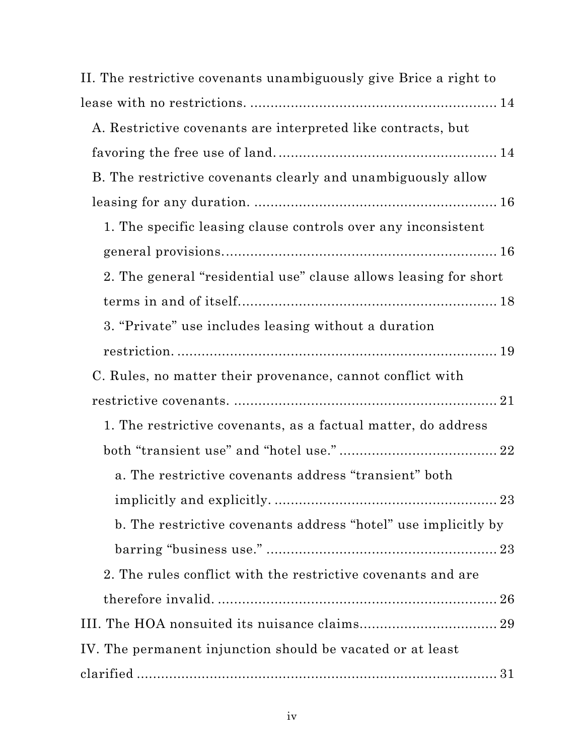| II. The restrictive covenants unambiguously give Brice a right to                                                                                                                                                                                                                                                                                                                                                                                                  |  |
|--------------------------------------------------------------------------------------------------------------------------------------------------------------------------------------------------------------------------------------------------------------------------------------------------------------------------------------------------------------------------------------------------------------------------------------------------------------------|--|
|                                                                                                                                                                                                                                                                                                                                                                                                                                                                    |  |
| A. Restrictive covenants are interpreted like contracts, but                                                                                                                                                                                                                                                                                                                                                                                                       |  |
|                                                                                                                                                                                                                                                                                                                                                                                                                                                                    |  |
| B. The restrictive covenants clearly and unambiguously allow                                                                                                                                                                                                                                                                                                                                                                                                       |  |
|                                                                                                                                                                                                                                                                                                                                                                                                                                                                    |  |
| 1. The specific leasing clause controls over any inconsistent                                                                                                                                                                                                                                                                                                                                                                                                      |  |
|                                                                                                                                                                                                                                                                                                                                                                                                                                                                    |  |
| 2. The general "residential use" clause allows leasing for short                                                                                                                                                                                                                                                                                                                                                                                                   |  |
|                                                                                                                                                                                                                                                                                                                                                                                                                                                                    |  |
| 3. "Private" use includes leasing without a duration                                                                                                                                                                                                                                                                                                                                                                                                               |  |
|                                                                                                                                                                                                                                                                                                                                                                                                                                                                    |  |
| C. Rules, no matter their provenance, cannot conflict with                                                                                                                                                                                                                                                                                                                                                                                                         |  |
|                                                                                                                                                                                                                                                                                                                                                                                                                                                                    |  |
| 1. The restrictive covenants, as a factual matter, do address                                                                                                                                                                                                                                                                                                                                                                                                      |  |
|                                                                                                                                                                                                                                                                                                                                                                                                                                                                    |  |
| a. The restrictive covenants address "transient" both                                                                                                                                                                                                                                                                                                                                                                                                              |  |
|                                                                                                                                                                                                                                                                                                                                                                                                                                                                    |  |
| b. The restrictive covenants address "hotel" use implicitly by                                                                                                                                                                                                                                                                                                                                                                                                     |  |
|                                                                                                                                                                                                                                                                                                                                                                                                                                                                    |  |
| 2. The rules conflict with the restrictive covenants and are                                                                                                                                                                                                                                                                                                                                                                                                       |  |
|                                                                                                                                                                                                                                                                                                                                                                                                                                                                    |  |
|                                                                                                                                                                                                                                                                                                                                                                                                                                                                    |  |
| IV. The permanent injunction should be vacated or at least                                                                                                                                                                                                                                                                                                                                                                                                         |  |
| $\label{eq:carified} \text{clarified} \,\, \ldots \,\, \ldots \,\, \ldots \,\, \ldots \,\, \ldots \,\, \ldots \,\, \ldots \,\, \ldots \,\, \ldots \,\, \ldots \,\, \ldots \,\, \ldots \,\, \ldots \,\, \ldots \,\, \ldots \,\, \ldots \,\, \ldots \,\, \ldots \,\, \ldots \,\, \ldots \,\, \ldots \,\, \ldots \,\, \ldots \,\, \ldots \,\, \ldots \,\, \ldots \,\, \ldots \,\, \ldots \,\, \ldots \,\, \ldots \,\, \ldots \,\, \ldots \,\, \ldots \,\, \ldots \,\$ |  |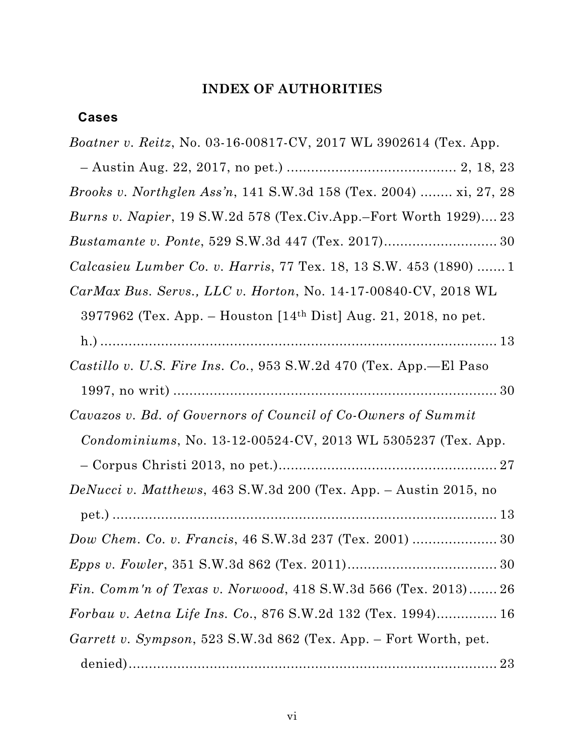## **INDEX OF AUTHORITIES**

## <span id="page-6-0"></span>**Cases**

| <i>Boatner v. Reitz</i> , No. 03-16-00817-CV, 2017 WL 3902614 (Tex. App.    |
|-----------------------------------------------------------------------------|
|                                                                             |
| <i>Brooks v. Northglen Ass'n,</i> 141 S.W.3d 158 (Tex. 2004)  xi, 27, 28    |
| Burns v. Napier, 19 S.W.2d 578 (Tex.Civ.App.-Fort Worth 1929) 23            |
|                                                                             |
| Calcasieu Lumber Co. v. Harris, 77 Tex. 18, 13 S.W. 453 (1890)  1           |
| $CarMax Bus. $ Servs., LLC v. Horton, No. 14-17-00840-CV, 2018 WL           |
| 3977962 (Tex. App. – Houston [14 <sup>th</sup> Dist] Aug. 21, 2018, no pet. |
|                                                                             |
| Castillo v. U.S. Fire Ins. Co., 953 S.W.2d 470 (Tex. App.—El Paso           |
|                                                                             |
| Cavazos v. Bd. of Governors of Council of Co-Owners of Summit               |
| Condominiums, No. 13-12-00524-CV, 2013 WL 5305237 (Tex. App.                |
|                                                                             |
| DeNucci v. Matthews, 463 S.W.3d 200 (Tex. App. $-$ Austin 2015, no          |
|                                                                             |
|                                                                             |
|                                                                             |
| <i>Fin.</i> Comm'n of Texas v. Norwood, 418 S.W.3d 566 (Tex. 2013) 26       |
| Forbau v. Aetna Life Ins. Co., 876 S.W.2d 132 (Tex. 1994) 16                |
| Garrett v. Sympson, 523 S.W.3d 862 (Tex. App. – Fort Worth, pet.            |
|                                                                             |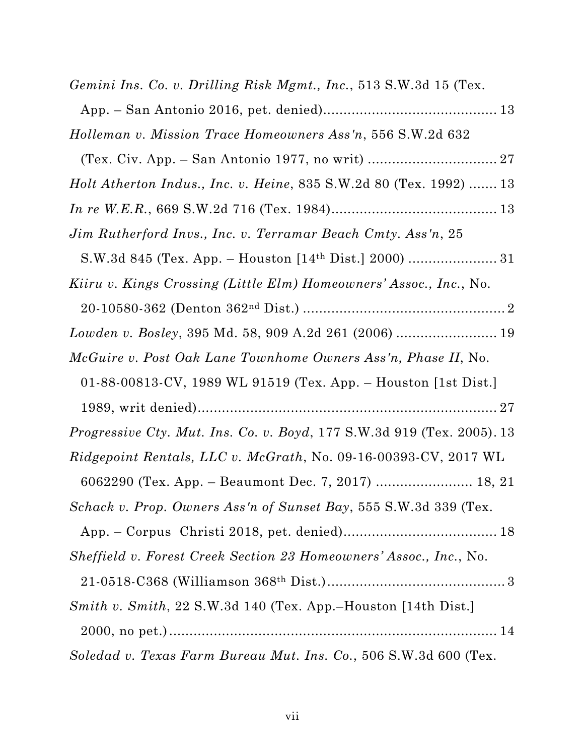| Gemini Ins. Co. v. Drilling Risk Mgmt., Inc., 513 S.W.3d 15 (Tex.             |
|-------------------------------------------------------------------------------|
|                                                                               |
| Holleman v. Mission Trace Homeowners Ass'n, 556 S.W.2d 632                    |
|                                                                               |
| <i>Holt Atherton Indus., Inc. v. Heine, 835 S.W.2d 80 (Tex. 1992)  13</i>     |
|                                                                               |
| Jim Rutherford Invs., Inc. v. Terramar Beach Cmty. Ass'n, 25                  |
|                                                                               |
| Kiiru v. Kings Crossing (Little Elm) Homeowners' Assoc., Inc., No.            |
|                                                                               |
|                                                                               |
| McGuire v. Post Oak Lane Townhome Owners Ass'n, Phase II, No.                 |
| 01-88-00813-CV, 1989 WL 91519 (Tex. App. – Houston [1st Dist.]                |
|                                                                               |
| <i>Progressive Cty. Mut. Ins. Co. v. Boyd,</i> 177 S.W.3d 919 (Tex. 2005). 13 |
| <i>Ridgepoint Rentals, LLC v. McGrath, No.</i> 09-16-00393-CV, 2017 WL        |
| 6062290 (Tex. App. – Beaumont Dec. 7, 2017)  18, 21                           |
| Schack v. Prop. Owners Ass'n of Sunset Bay, 555 S.W.3d 339 (Tex.              |
|                                                                               |
| Sheffield v. Forest Creek Section 23 Homeowners' Assoc., Inc., No.            |
|                                                                               |
| Smith v. Smith, 22 S.W.3d 140 (Tex. App.–Houston [14th Dist.]                 |
|                                                                               |
| Soledad v. Texas Farm Bureau Mut. Ins. Co., 506 S.W.3d 600 (Tex.              |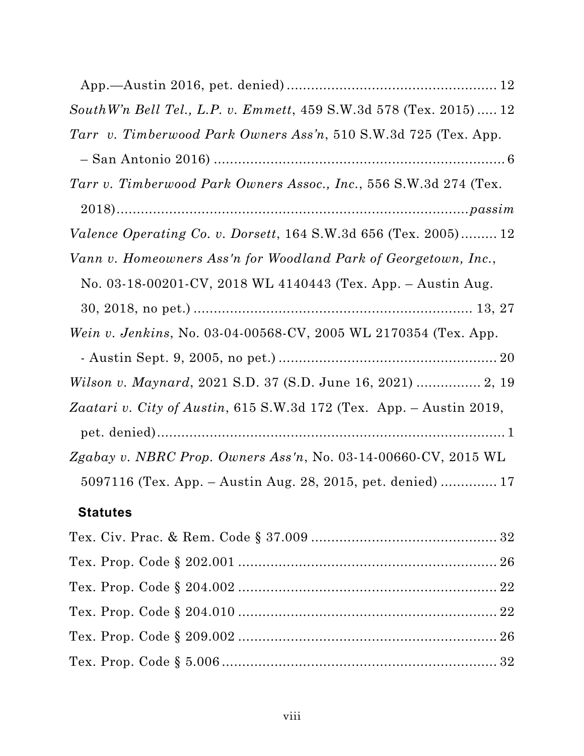| SouthW'n Bell Tel., L.P. v. Emmett, 459 S.W.3d 578 (Tex. 2015) 12      |
|------------------------------------------------------------------------|
| Tarr v. Timberwood Park Owners Ass'n, 510 S.W.3d 725 (Tex. App.        |
|                                                                        |
| Tarr v. Timberwood Park Owners Assoc., Inc., 556 S.W.3d 274 (Tex.      |
|                                                                        |
| <i>Valence Operating Co. v. Dorsett,</i> 164 S.W.3d 656 (Tex. 2005) 12 |
| Vann v. Homeowners Ass'n for Woodland Park of Georgetown, Inc.,        |
| No. 03-18-00201-CV, 2018 WL 4140443 (Tex. App. - Austin Aug.           |
|                                                                        |
| Wein v. Jenkins, No. 03-04-00568-CV, 2005 WL 2170354 (Tex. App.        |
|                                                                        |
| Wilson v. Maynard, 2021 S.D. 37 (S.D. June 16, 2021)  2, 19            |
| Zaatari v. City of Austin, 615 S.W.3d 172 (Tex. App. - Austin 2019,    |
|                                                                        |
| Zgabay v. NBRC Prop. Owners Ass'n, No. 03-14-00660-CV, 2015 WL         |
| 5097116 (Tex. App. – Austin Aug. 28, 2015, pet. denied)  17            |
|                                                                        |

# **Statutes**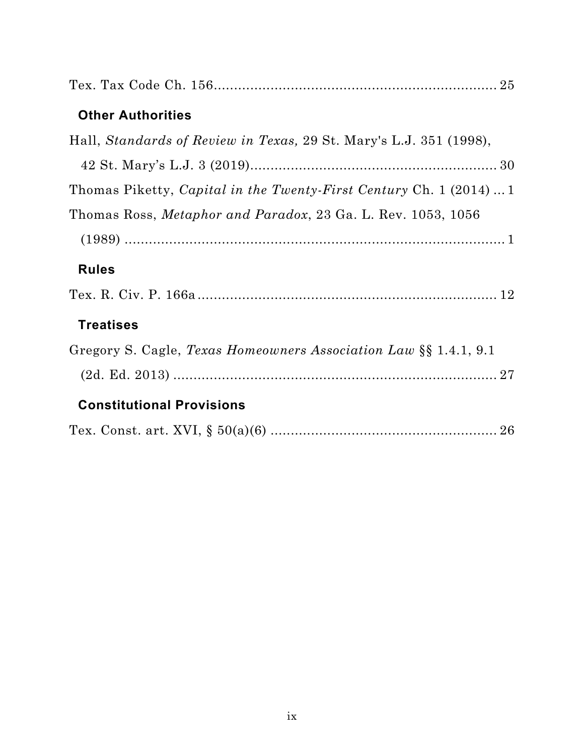| <b>Other Authorities</b>                                                   |
|----------------------------------------------------------------------------|
| Hall, Standards of Review in Texas, 29 St. Mary's L.J. 351 (1998),         |
|                                                                            |
| Thomas Piketty, <i>Capital in the Twenty-First Century</i> Ch. 1 (2014)  1 |
| Thomas Ross, Metaphor and Paradox, 23 Ga. L. Rev. 1053, 1056               |
|                                                                            |
| <b>Rules</b>                                                               |
|                                                                            |
| <b>Treatises</b>                                                           |
| Gregory S. Cagle, Texas Homeowners Association Law §§ 1.4.1, 9.1           |
|                                                                            |
| <b>Constitutional Provisions</b>                                           |
|                                                                            |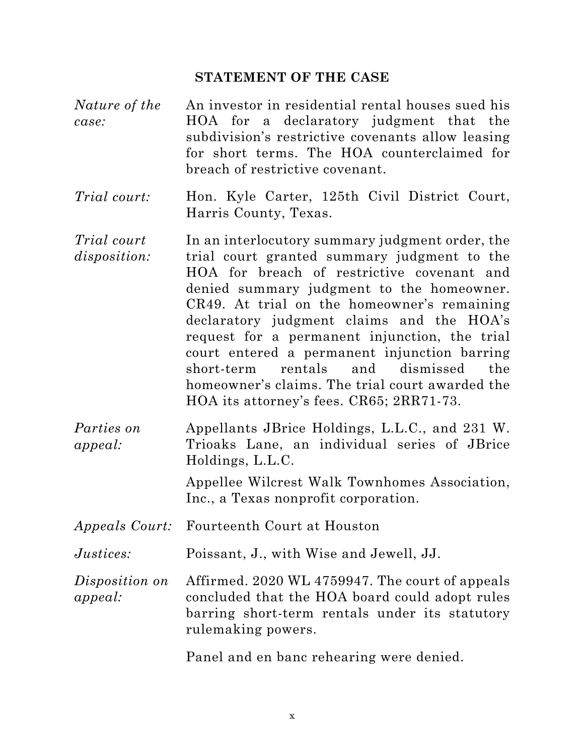#### **STATEMENT OF THE CASE**

- <span id="page-10-0"></span>*Nature of the case:* An investor in residential rental houses sued his HOA for a declaratory judgment that the subdivision's restrictive covenants allow leasing for short terms. The HOA counterclaimed for breach of restrictive covenant.
- *Trial court:* Hon. Kyle Carter, 125th Civil District Court, Harris County, Texas.
- *Trial court disposition:* In an interlocutory summary judgment order, the trial court granted summary judgment to the HOA for breach of restrictive covenant and denied summary judgment to the homeowner. CR49. At trial on the homeowner's remaining declaratory judgment claims and the HOA's request for a permanent injunction, the trial court entered a permanent injunction barring short-term rentals and dismissed the homeowner's claims. The trial court awarded the HOA its attorney's fees. CR65; 2RR71-73.
- *Parties on appeal:* Appellants JBrice Holdings, L.L.C., and 231 W. Trioaks Lane, an individual series of JBrice Holdings, L.L.C.

Appellee Wilcrest Walk Townhomes Association, Inc., a Texas nonprofit corporation.

- *Appeals Court:* Fourteenth Court at Houston
- *Justices:* Poissant, J., with Wise and Jewell, JJ.
- *Disposition on appeal:* Affirmed. 2020 WL 4759947. The court of appeals concluded that the HOA board could adopt rules barring short-term rentals under its statutory rulemaking powers.

Panel and en banc rehearing were denied.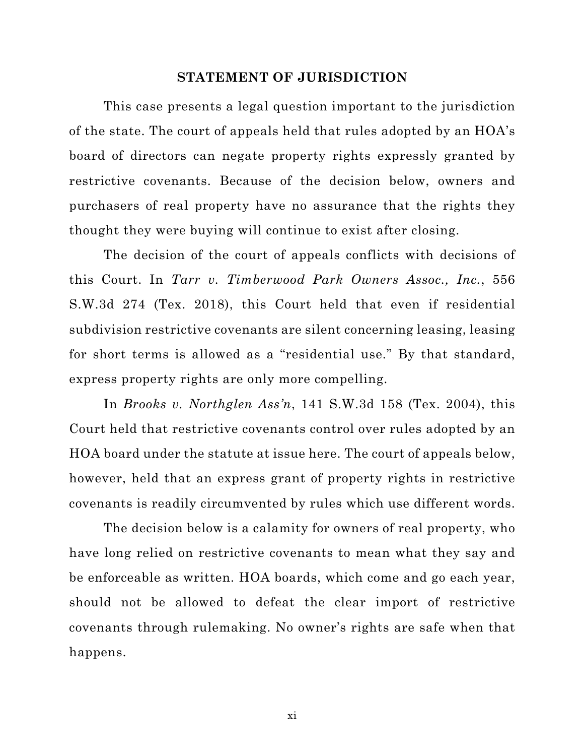#### **STATEMENT OF JURISDICTION**

<span id="page-11-0"></span>This case presents a legal question important to the jurisdiction of the state. The court of appeals held that rules adopted by an HOA's board of directors can negate property rights expressly granted by restrictive covenants. Because of the decision below, owners and purchasers of real property have no assurance that the rights they thought they were buying will continue to exist after closing.

The decision of the court of appeals conflicts with decisions of this Court. In *Tarr v. Timberwood Park Owners Assoc., Inc.*, 556 S.W.3d 274 (Tex. 2018), this Court held that even if residential subdivision restrictive covenants are silent concerning leasing, leasing for short terms is allowed as a "residential use." By that standard, express property rights are only more compelling.

In *Brooks v. Northglen Ass'n*, 141 S.W.3d 158 (Tex. 2004), this Court held that restrictive covenants control over rules adopted by an HOA board under the statute at issue here. The court of appeals below, however, held that an express grant of property rights in restrictive covenants is readily circumvented by rules which use different words.

The decision below is a calamity for owners of real property, who have long relied on restrictive covenants to mean what they say and be enforceable as written. HOA boards, which come and go each year, should not be allowed to defeat the clear import of restrictive covenants through rulemaking. No owner's rights are safe when that happens.

xi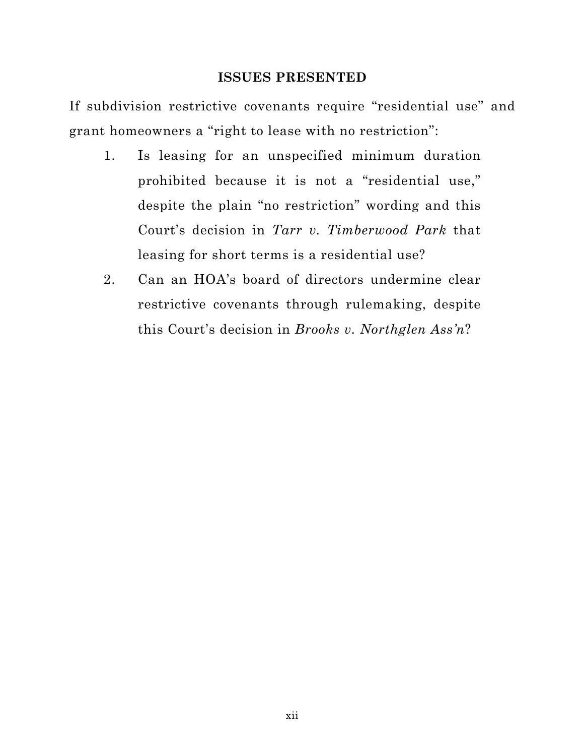#### **ISSUES PRESENTED**

<span id="page-12-0"></span>If subdivision restrictive covenants require "residential use" and grant homeowners a "right to lease with no restriction":

- 1. Is leasing for an unspecified minimum duration prohibited because it is not a "residential use," despite the plain "no restriction" wording and this Court's decision in *Tarr v. Timberwood Park* that leasing for short terms is a residential use?
- 2. Can an HOA's board of directors undermine clear restrictive covenants through rulemaking, despite this Court's decision in *Brooks v. Northglen Ass'n*?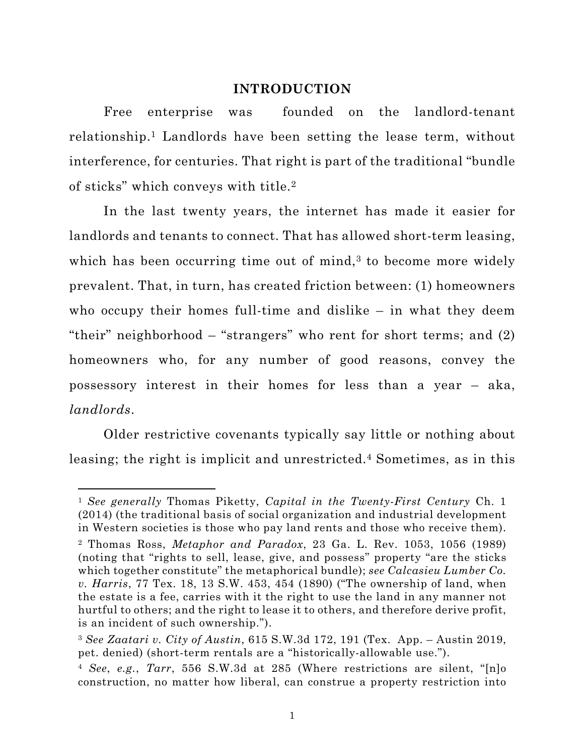#### **INTRODUCTION**

<span id="page-13-0"></span>Free enterprise was founded on the landlord-tenant relationship.1 Landlords have been setting the lease term, without interference, for centuries. That right is part of the traditional "bundle of sticks" which conveys with title.2

In the last twenty years, the internet has made it easier for landlords and tenants to connect. That has allowed short-term leasing, which has been occurring time out of mind, $3$  to become more widely prevalent. That, in turn, has created friction between: (1) homeowners who occupy their homes full-time and dislike – in what they deem "their" neighborhood – "strangers" who rent for short terms; and (2) homeowners who, for any number of good reasons, convey the possessory interest in their homes for less than a year – aka, *landlords*.

Older restrictive covenants typically say little or nothing about leasing; the right is implicit and unrestricted.<sup>4</sup> Sometimes, as in this

<sup>1</sup> *See generally* Thomas Piketty, *Capital in the Twenty-First Century* Ch. 1 (2014) (the traditional basis of social organization and industrial development in Western societies is those who pay land rents and those who receive them). <sup>2</sup> Thomas Ross, *Metaphor and Paradox*, 23 Ga. L. Rev. 1053, 1056 (1989) (noting that "rights to sell, lease, give, and possess" property "are the sticks which together constitute" the metaphorical bundle); *see Calcasieu Lumber Co. v. Harris*, 77 Tex. 18, 13 S.W. 453, 454 (1890) ("The ownership of land, when the estate is a fee, carries with it the right to use the land in any manner not hurtful to others; and the right to lease it to others, and therefore derive profit, is an incident of such ownership.").

<sup>3</sup> *See Zaatari v. City of Austin*, 615 S.W.3d 172, 191 (Tex. App. – Austin 2019, pet. denied) (short-term rentals are a "historically-allowable use.").

<sup>4</sup> *See*, *e.g.*, *Tarr*, 556 S.W.3d at 285 (Where restrictions are silent, "[n]o construction, no matter how liberal, can construe a property restriction into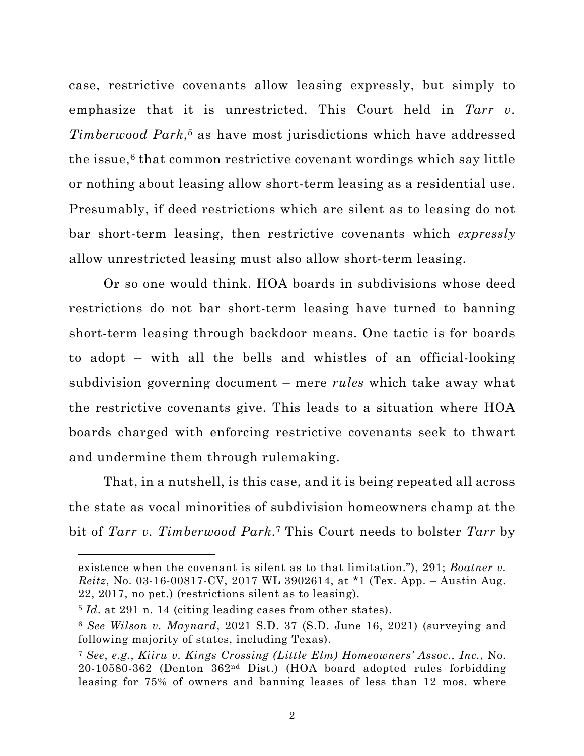<span id="page-14-0"></span>case, restrictive covenants allow leasing expressly, but simply to emphasize that it is unrestricted. This Court held in *Tarr v. Timberwood Park*,5 as have most jurisdictions which have addressed the issue, $6$  that common restrictive covenant wordings which say little or nothing about leasing allow short-term leasing as a residential use. Presumably, if deed restrictions which are silent as to leasing do not bar short-term leasing, then restrictive covenants which *expressly* allow unrestricted leasing must also allow short-term leasing.

Or so one would think. HOA boards in subdivisions whose deed restrictions do not bar short-term leasing have turned to banning short-term leasing through backdoor means. One tactic is for boards to adopt – with all the bells and whistles of an official-looking subdivision governing document – mere *rules* which take away what the restrictive covenants give. This leads to a situation where HOA boards charged with enforcing restrictive covenants seek to thwart and undermine them through rulemaking.

That, in a nutshell, is this case, and it is being repeated all across the state as vocal minorities of subdivision homeowners champ at the bit of *Tarr v. Timberwood Park*.7 This Court needs to bolster *Tarr* by

existence when the covenant is silent as to that limitation."), 291; *Boatner v. Reitz*, No. 03-16-00817-CV, 2017 WL 3902614, at \*1 (Tex. App. – Austin Aug. 22, 2017, no pet.) (restrictions silent as to leasing).

<sup>5</sup> *Id*. at 291 n. 14 (citing leading cases from other states).

<sup>6</sup> *See Wilson v. Maynard*, 2021 S.D. 37 (S.D. June 16, 2021) (surveying and following majority of states, including Texas).

<sup>7</sup> *See*, *e.g.*, *Kiiru v. Kings Crossing (Little Elm) Homeowners' Assoc., Inc.*, No. 20-10580-362 (Denton 362nd Dist.) (HOA board adopted rules forbidding leasing for 75% of owners and banning leases of less than 12 mos. where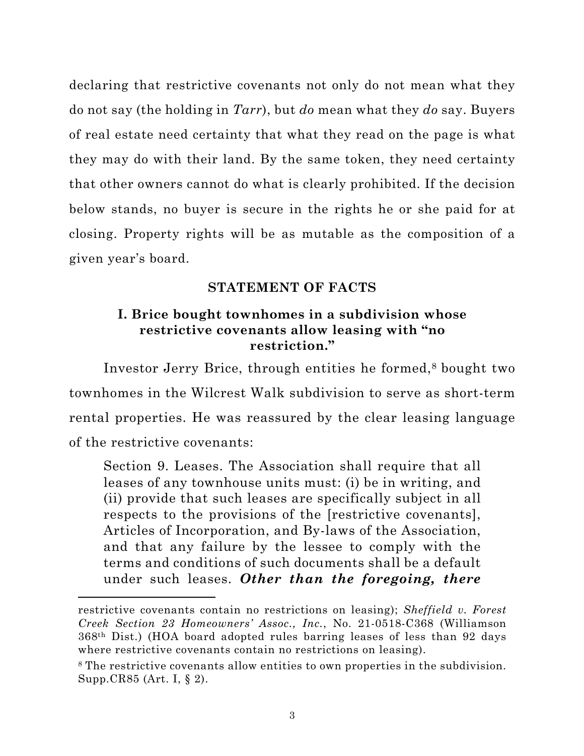<span id="page-15-0"></span>declaring that restrictive covenants not only do not mean what they do not say (the holding in *Tarr*), but *do* mean what they *do* say. Buyers of real estate need certainty that what they read on the page is what they may do with their land. By the same token, they need certainty that other owners cannot do what is clearly prohibited. If the decision below stands, no buyer is secure in the rights he or she paid for at closing. Property rights will be as mutable as the composition of a given year's board.

## **STATEMENT OF FACTS**

## **I. Brice bought townhomes in a subdivision whose restrictive covenants allow leasing with "no restriction."**

Investor Jerry Brice, through entities he formed,8 bought two townhomes in the Wilcrest Walk subdivision to serve as short-term rental properties. He was reassured by the clear leasing language of the restrictive covenants:

Section 9. Leases. The Association shall require that all leases of any townhouse units must: (i) be in writing, and (ii) provide that such leases are specifically subject in all respects to the provisions of the [restrictive covenants], Articles of Incorporation, and By-laws of the Association, and that any failure by the lessee to comply with the terms and conditions of such documents shall be a default under such leases. *Other than the foregoing, there*

restrictive covenants contain no restrictions on leasing); *Sheffield v. Forest Creek Section 23 Homeowners' Assoc., Inc.*, No. 21-0518-C368 (Williamson 368th Dist.) (HOA board adopted rules barring leases of less than 92 days where restrictive covenants contain no restrictions on leasing).

<sup>8</sup> The restrictive covenants allow entities to own properties in the subdivision. Supp.CR85 (Art. I, § 2).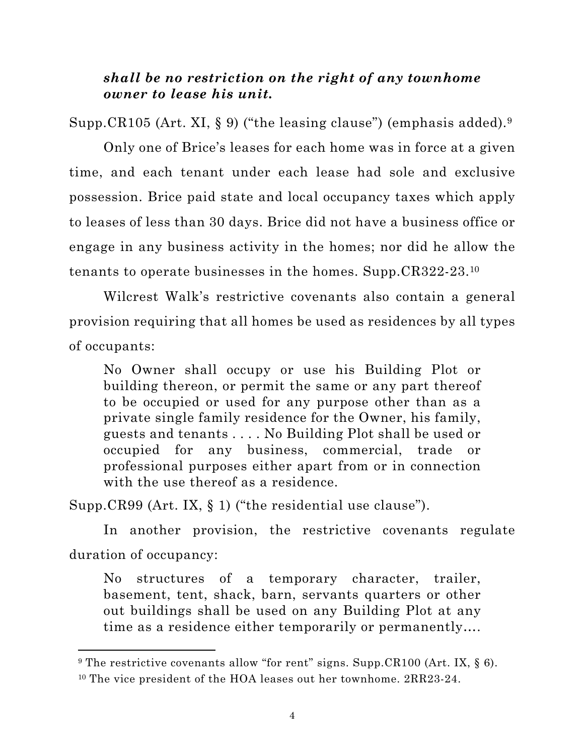## *shall be no restriction on the right of any townhome owner to lease his unit.*

Supp.CR105 (Art. XI, § 9) ("the leasing clause") (emphasis added).  $9$ 

Only one of Brice's leases for each home was in force at a given time, and each tenant under each lease had sole and exclusive possession. Brice paid state and local occupancy taxes which apply to leases of less than 30 days. Brice did not have a business office or engage in any business activity in the homes; nor did he allow the tenants to operate businesses in the homes. Supp.CR322-23.10

Wilcrest Walk's restrictive covenants also contain a general provision requiring that all homes be used as residences by all types of occupants:

No Owner shall occupy or use his Building Plot or building thereon, or permit the same or any part thereof to be occupied or used for any purpose other than as a private single family residence for the Owner, his family, guests and tenants . . . . No Building Plot shall be used or occupied for any business, commercial, trade or professional purposes either apart from or in connection with the use thereof as a residence.

Supp.CR99 (Art. IX, § 1) ("the residential use clause").

In another provision, the restrictive covenants regulate duration of occupancy:

No structures of a temporary character, trailer, basement, tent, shack, barn, servants quarters or other out buildings shall be used on any Building Plot at any time as a residence either temporarily or permanently….

<sup>&</sup>lt;sup>9</sup> The restrictive covenants allow "for rent" signs. Supp.CR100 (Art. IX,  $\S$  6). <sup>10</sup> The vice president of the HOA leases out her townhome. 2RR23-24.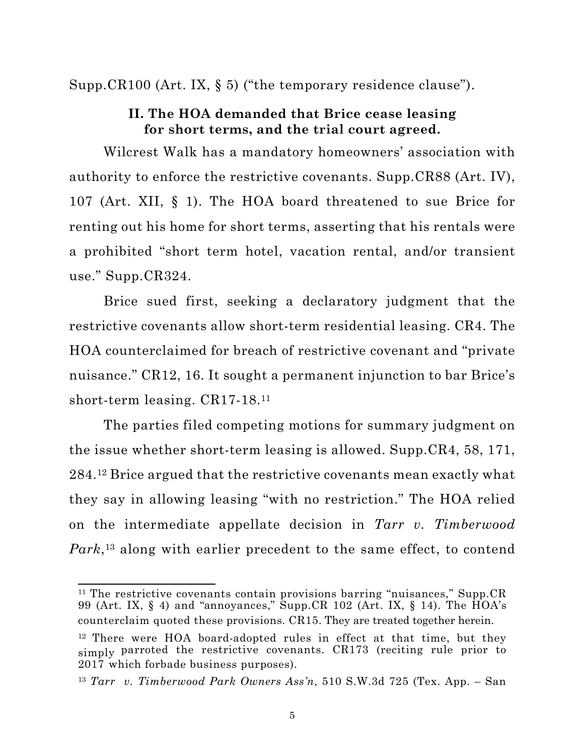<span id="page-17-0"></span>Supp.CR100 (Art. IX, § 5) ("the temporary residence clause").

### **II. The HOA demanded that Brice cease leasing for short terms, and the trial court agreed.**

Wilcrest Walk has a mandatory homeowners' association with authority to enforce the restrictive covenants. Supp.CR88 (Art. IV), 107 (Art. XII, § 1). The HOA board threatened to sue Brice for renting out his home for short terms, asserting that his rentals were a prohibited "short term hotel, vacation rental, and/or transient use." Supp.CR324.

Brice sued first, seeking a declaratory judgment that the restrictive covenants allow short-term residential leasing. CR4. The HOA counterclaimed for breach of restrictive covenant and "private nuisance." CR12, 16. It sought a permanent injunction to bar Brice's short-term leasing. CR17-18.11

The parties filed competing motions for summary judgment on the issue whether short-term leasing is allowed. Supp.CR4, 58, 171, 284.12 Brice argued that the restrictive covenants mean exactly what they say in allowing leasing "with no restriction." The HOA relied on the intermediate appellate decision in *Tarr v. Timberwood Park*,13 along with earlier precedent to the same effect, to contend

<sup>&</sup>lt;sup>11</sup> The restrictive covenants contain provisions barring "nuisances," Supp.CR 99 (Art. IX, § 4) and "annoyances," Supp.CR 102 (Art. IX, § 14). The HOA's counterclaim quoted these provisions. CR15. They are treated together herein.

<sup>&</sup>lt;sup>12</sup> There were HOA board-adopted rules in effect at that time, but they simply parroted the restrictive covenants. CR173 (reciting rule prior to 2017 which forbade business purposes).

<sup>13</sup> *Tarr v. Timberwood Park Owners Ass'n*, 510 S.W.3d 725 (Tex. App. – San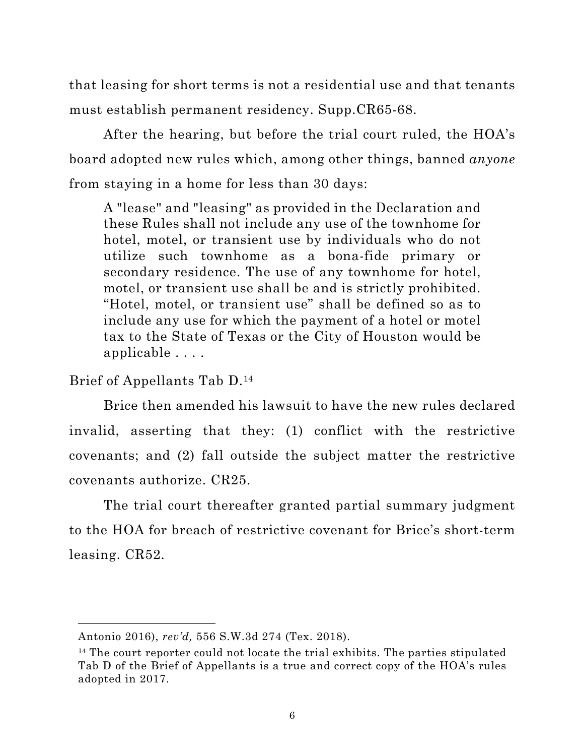<span id="page-18-0"></span>that leasing for short terms is not a residential use and that tenants must establish permanent residency. Supp.CR65-68.

After the hearing, but before the trial court ruled, the HOA's board adopted new rules which, among other things, banned *anyone* from staying in a home for less than 30 days:

A "lease" and "leasing" as provided in the Declaration and these Rules shall not include any use of the townhome for hotel, motel, or transient use by individuals who do not utilize such townhome as a bona-fide primary or secondary residence. The use of any townhome for hotel, motel, or transient use shall be and is strictly prohibited. "Hotel, motel, or transient use" shall be defined so as to include any use for which the payment of a hotel or motel tax to the State of Texas or the City of Houston would be applicable . . . .

Brief of Appellants Tab D.14

Brice then amended his lawsuit to have the new rules declared invalid, asserting that they: (1) conflict with the restrictive covenants; and (2) fall outside the subject matter the restrictive covenants authorize. CR25.

The trial court thereafter granted partial summary judgment to the HOA for breach of restrictive covenant for Brice's short-term leasing. CR52.

Antonio 2016), *rev'd,* 556 S.W.3d 274 (Tex. 2018).

<sup>&</sup>lt;sup>14</sup> The court reporter could not locate the trial exhibits. The parties stipulated Tab D of the Brief of Appellants is a true and correct copy of the HOA's rules adopted in 2017.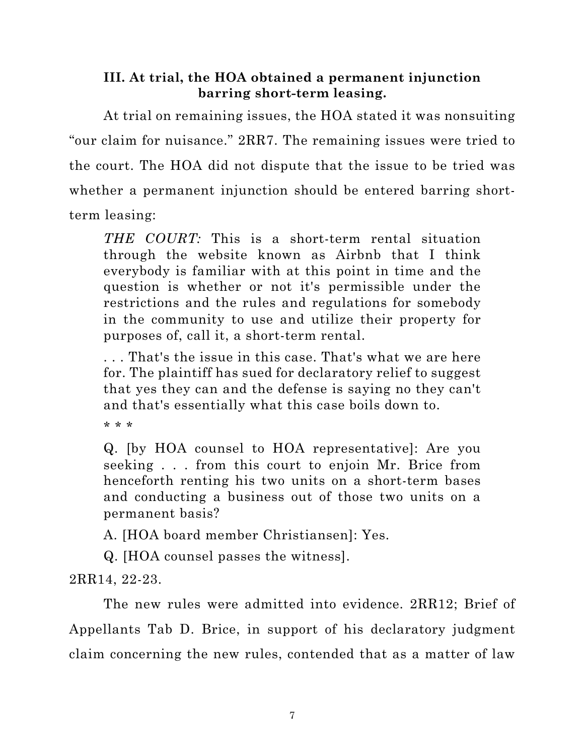## <span id="page-19-0"></span>**III. At trial, the HOA obtained a permanent injunction barring short-term leasing.**

At trial on remaining issues, the HOA stated it was nonsuiting "our claim for nuisance." 2RR7. The remaining issues were tried to the court. The HOA did not dispute that the issue to be tried was whether a permanent injunction should be entered barring shortterm leasing:

*THE COURT:* This is a short-term rental situation through the website known as Airbnb that I think everybody is familiar with at this point in time and the question is whether or not it's permissible under the restrictions and the rules and regulations for somebody in the community to use and utilize their property for purposes of, call it, a short-term rental.

. . . That's the issue in this case. That's what we are here for. The plaintiff has sued for declaratory relief to suggest that yes they can and the defense is saying no they can't and that's essentially what this case boils down to.

\* \* \*

Q. [by HOA counsel to HOA representative]: Are you seeking . . . from this court to enjoin Mr. Brice from henceforth renting his two units on a short-term bases and conducting a business out of those two units on a permanent basis?

A. [HOA board member Christiansen]: Yes.

Q. [HOA counsel passes the witness].

2RR14, 22-23.

The new rules were admitted into evidence. 2RR12; Brief of Appellants Tab D. Brice, in support of his declaratory judgment claim concerning the new rules, contended that as a matter of law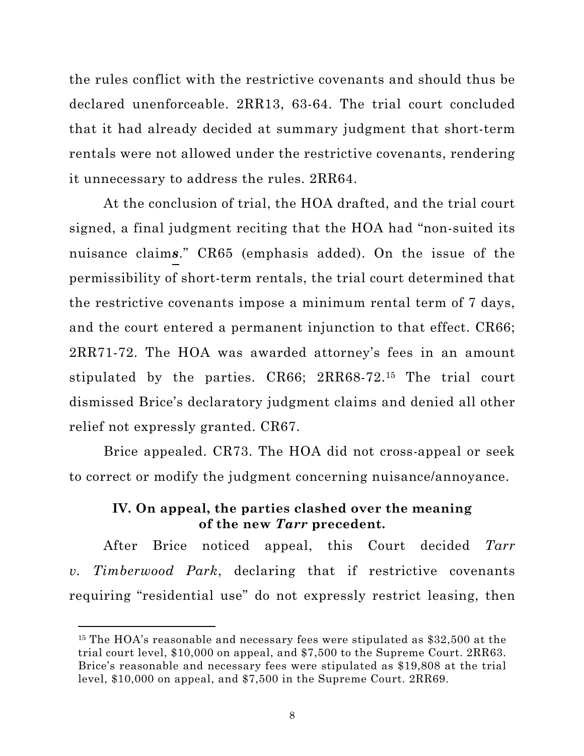<span id="page-20-0"></span>the rules conflict with the restrictive covenants and should thus be declared unenforceable. 2RR13, 63-64. The trial court concluded that it had already decided at summary judgment that short-term rentals were not allowed under the restrictive covenants, rendering it unnecessary to address the rules. 2RR64.

At the conclusion of trial, the HOA drafted, and the trial court signed, a final judgment reciting that the HOA had "non-suited its nuisance claim*s*." CR65 (emphasis added). On the issue of the permissibility of short-term rentals, the trial court determined that the restrictive covenants impose a minimum rental term of 7 days, and the court entered a permanent injunction to that effect. CR66; 2RR71-72. The HOA was awarded attorney's fees in an amount stipulated by the parties. CR66; 2RR68-72.<sup>15</sup> The trial court dismissed Brice's declaratory judgment claims and denied all other relief not expressly granted. CR67.

Brice appealed. CR73. The HOA did not cross-appeal or seek to correct or modify the judgment concerning nuisance/annoyance.

## **IV. On appeal, the parties clashed over the meaning of the new** *Tarr* **precedent.**

After Brice noticed appeal, this Court decided *Tarr v. Timberwood Park*, declaring that if restrictive covenants requiring "residential use" do not expressly restrict leasing, then

<sup>&</sup>lt;sup>15</sup> The HOA's reasonable and necessary fees were stipulated as \$32,500 at the trial court level, \$10,000 on appeal, and \$7,500 to the Supreme Court. 2RR63. Brice's reasonable and necessary fees were stipulated as \$19,808 at the trial level, \$10,000 on appeal, and \$7,500 in the Supreme Court. 2RR69.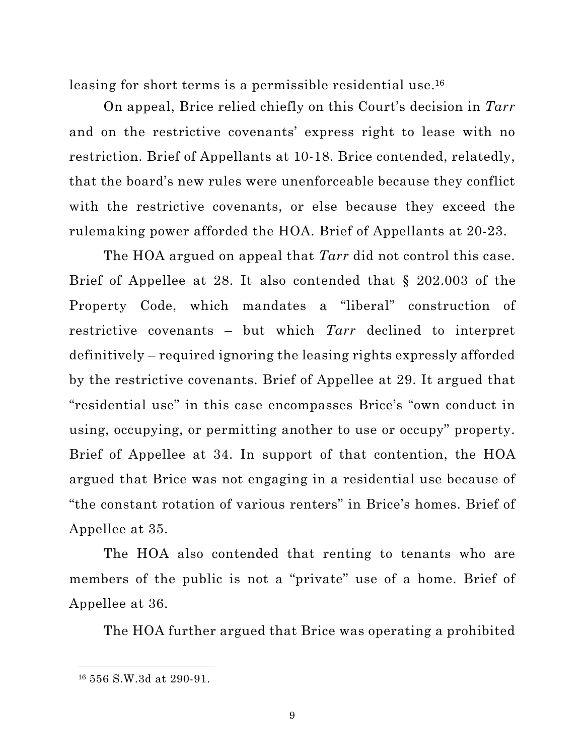leasing for short terms is a permissible residential use. 16

On appeal, Brice relied chiefly on this Court's decision in *Tarr* and on the restrictive covenants' express right to lease with no restriction. Brief of Appellants at 10-18. Brice contended, relatedly, that the board's new rules were unenforceable because they conflict with the restrictive covenants, or else because they exceed the rulemaking power afforded the HOA. Brief of Appellants at 20-23.

The HOA argued on appeal that *Tarr* did not control this case. Brief of Appellee at 28. It also contended that § 202.003 of the Property Code, which mandates a "liberal" construction of restrictive covenants – but which *Tarr* declined to interpret definitively – required ignoring the leasing rights expressly afforded by the restrictive covenants. Brief of Appellee at 29. It argued that "residential use" in this case encompasses Brice's "own conduct in using, occupying, or permitting another to use or occupy" property. Brief of Appellee at 34. In support of that contention, the HOA argued that Brice was not engaging in a residential use because of "the constant rotation of various renters" in Brice's homes. Brief of Appellee at 35.

The HOA also contended that renting to tenants who are members of the public is not a "private" use of a home. Brief of Appellee at 36.

The HOA further argued that Brice was operating a prohibited

<sup>16</sup> 556 S.W.3d at 290-91.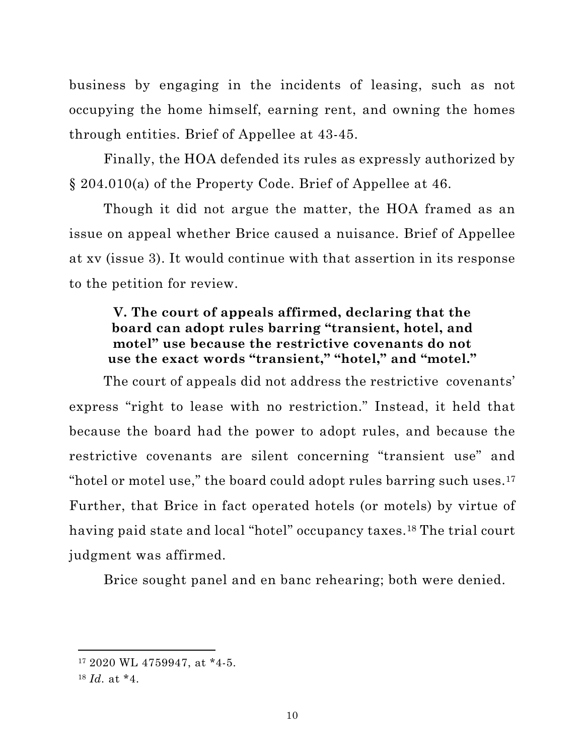<span id="page-22-0"></span>business by engaging in the incidents of leasing, such as not occupying the home himself, earning rent, and owning the homes through entities. Brief of Appellee at 43-45.

Finally, the HOA defended its rules as expressly authorized by § 204.010(a) of the Property Code. Brief of Appellee at 46.

Though it did not argue the matter, the HOA framed as an issue on appeal whether Brice caused a nuisance. Brief of Appellee at xv (issue 3). It would continue with that assertion in its response to the petition for review.

## **V. The court of appeals affirmed, declaring that the board can adopt rules barring "transient, hotel, and motel" use because the restrictive covenants do not use the exact words "transient," "hotel," and "motel."**

The court of appeals did not address the restrictive covenants' express "right to lease with no restriction." Instead, it held that because the board had the power to adopt rules, and because the restrictive covenants are silent concerning "transient use" and "hotel or motel use," the board could adopt rules barring such uses.17 Further, that Brice in fact operated hotels (or motels) by virtue of having paid state and local "hotel" occupancy taxes.<sup>18</sup> The trial court judgment was affirmed.

Brice sought panel and en banc rehearing; both were denied.

<sup>17</sup> 2020 WL 4759947, at \*4-5.

<sup>18</sup> *Id.* at \*4.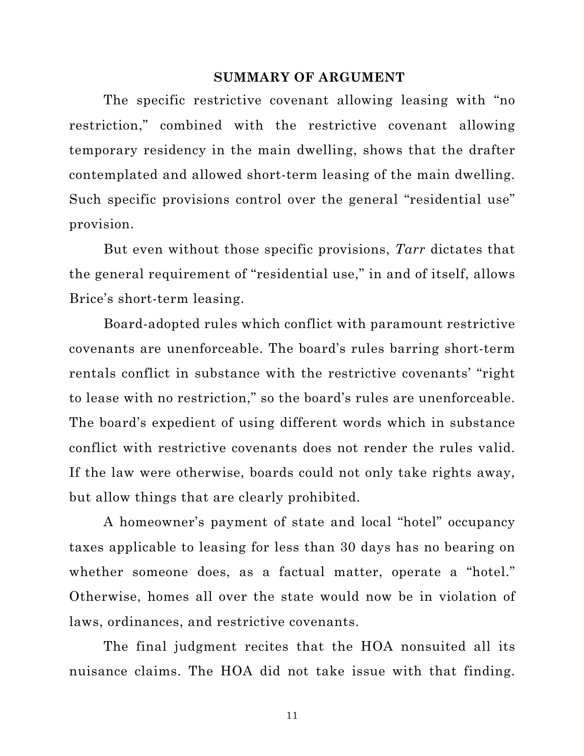#### **SUMMARY OF ARGUMENT**

<span id="page-23-0"></span>The specific restrictive covenant allowing leasing with "no restriction," combined with the restrictive covenant allowing temporary residency in the main dwelling, shows that the drafter contemplated and allowed short-term leasing of the main dwelling. Such specific provisions control over the general "residential use" provision.

But even without those specific provisions, *Tarr* dictates that the general requirement of "residential use," in and of itself, allows Brice's short-term leasing.

Board-adopted rules which conflict with paramount restrictive covenants are unenforceable. The board's rules barring short-term rentals conflict in substance with the restrictive covenants' "right to lease with no restriction," so the board's rules are unenforceable. The board's expedient of using different words which in substance conflict with restrictive covenants does not render the rules valid. If the law were otherwise, boards could not only take rights away, but allow things that are clearly prohibited.

A homeowner's payment of state and local "hotel" occupancy taxes applicable to leasing for less than 30 days has no bearing on whether someone does, as a factual matter, operate a "hotel." Otherwise, homes all over the state would now be in violation of laws, ordinances, and restrictive covenants.

The final judgment recites that the HOA nonsuited all its nuisance claims. The HOA did not take issue with that finding.

11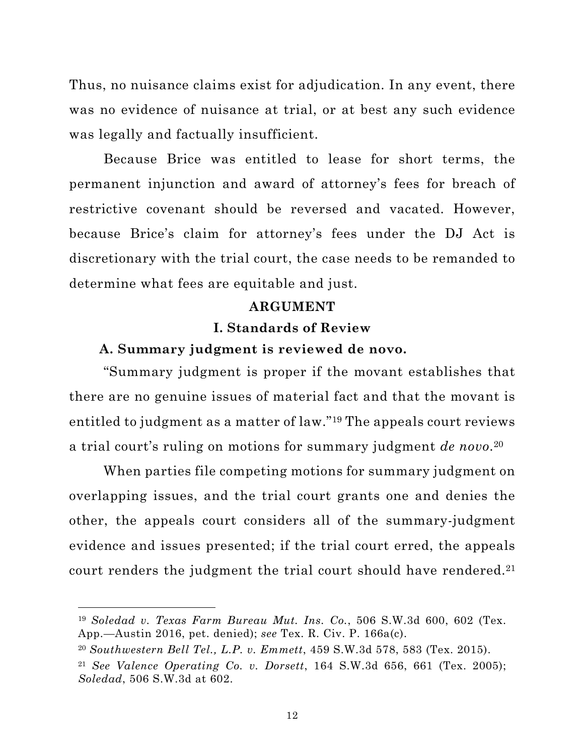<span id="page-24-0"></span>Thus, no nuisance claims exist for adjudication. In any event, there was no evidence of nuisance at trial, or at best any such evidence was legally and factually insufficient.

Because Brice was entitled to lease for short terms, the permanent injunction and award of attorney's fees for breach of restrictive covenant should be reversed and vacated. However, because Brice's claim for attorney's fees under the DJ Act is discretionary with the trial court, the case needs to be remanded to determine what fees are equitable and just.

#### **ARGUMENT**

### **I. Standards of Review**

#### **A. Summary judgment is reviewed de novo.**

"Summary judgment is proper if the movant establishes that there are no genuine issues of material fact and that the movant is entitled to judgment as a matter of law."19 The appeals court reviews a trial court's ruling on motions for summary judgment *de novo*.20

When parties file competing motions for summary judgment on overlapping issues, and the trial court grants one and denies the other, the appeals court considers all of the summary-judgment evidence and issues presented; if the trial court erred, the appeals court renders the judgment the trial court should have rendered.<sup>21</sup>

<sup>19</sup> *Soledad v. Texas Farm Bureau Mut. Ins. Co.*, 506 S.W.3d 600, 602 (Tex. App.—Austin 2016, pet. denied); *see* Tex. R. Civ. P. 166a(c).

<sup>20</sup> *Southwestern Bell Tel., L.P. v. Emmett*, 459 S.W.3d 578, 583 (Tex. 2015).

<sup>21</sup> *See Valence Operating Co. v. Dorsett*, 164 S.W.3d 656, 661 (Tex. 2005); *Soledad*, 506 S.W.3d at 602.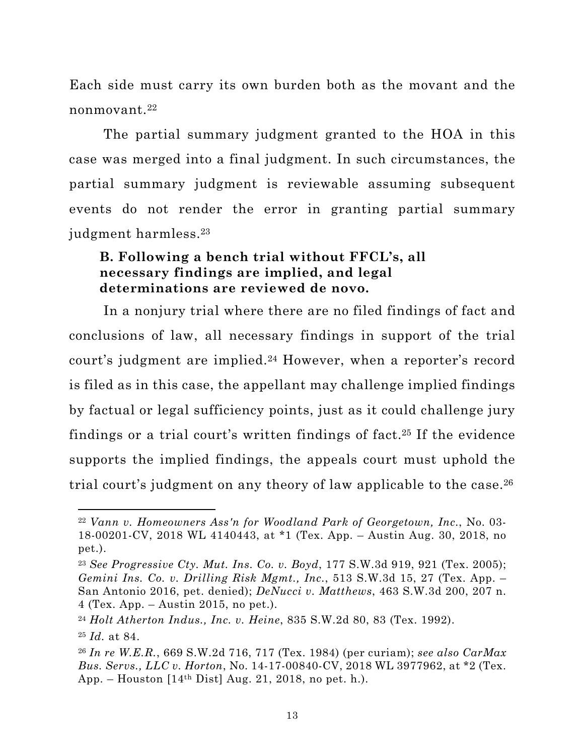<span id="page-25-0"></span>Each side must carry its own burden both as the movant and the nonmovant.22

The partial summary judgment granted to the HOA in this case was merged into a final judgment. In such circumstances, the partial summary judgment is reviewable assuming subsequent events do not render the error in granting partial summary judgment harmless.23

## **B. Following a bench trial without FFCL's, all necessary findings are implied, and legal determinations are reviewed de novo.**

In a nonjury trial where there are no filed findings of fact and conclusions of law, all necessary findings in support of the trial court's judgment are implied.24 However, when a reporter's record is filed as in this case, the appellant may challenge implied findings by factual or legal sufficiency points, just as it could challenge jury findings or a trial court's written findings of fact.25 If the evidence supports the implied findings, the appeals court must uphold the trial court's judgment on any theory of law applicable to the case.<sup>26</sup>

<sup>22</sup> *Vann v. Homeowners Ass'n for Woodland Park of Georgetown, Inc.*, No. 03- 18-00201-CV, 2018 WL 4140443, at \*1 (Tex. App. – Austin Aug. 30, 2018, no pet.).

<sup>23</sup> *See Progressive Cty. Mut. Ins. Co. v. Boyd*, 177 S.W.3d 919, 921 (Tex. 2005); *Gemini Ins. Co. v. Drilling Risk Mgmt., Inc.*, 513 S.W.3d 15, 27 (Tex. App. – San Antonio 2016, pet. denied); *DeNucci v. Matthews*, 463 S.W.3d 200, 207 n. 4 (Tex. App. – Austin 2015, no pet.).

<sup>24</sup> *Holt Atherton Indus., Inc. v. Heine*, 835 S.W.2d 80, 83 (Tex. 1992).

<sup>25</sup> *Id.* at 84.

<sup>26</sup> *In re W.E.R.*, 669 S.W.2d 716, 717 (Tex. 1984) (per curiam); *see also CarMax Bus. Servs., LLC v. Horton*, No. 14-17-00840-CV, 2018 WL 3977962, at \*2 (Tex. App. – Houston  $[14<sup>th</sup> Dist]$  Aug. 21, 2018, no pet. h.).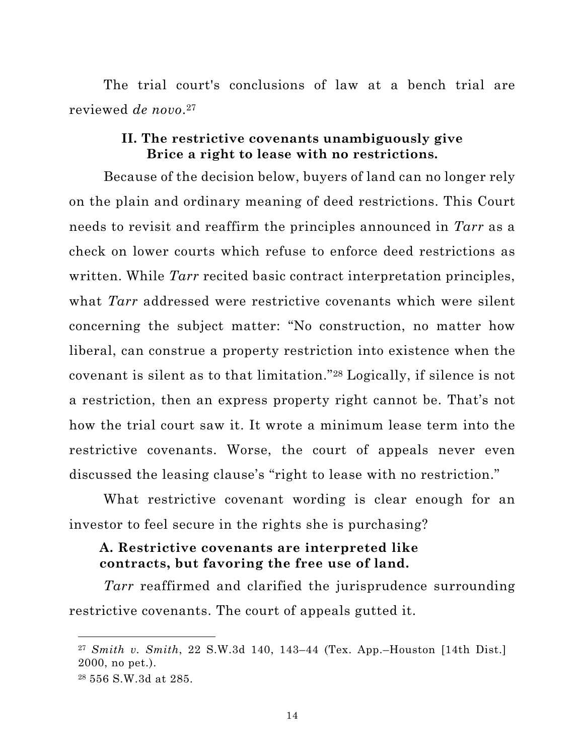<span id="page-26-0"></span>The trial court's conclusions of law at a bench trial are reviewed *de novo*.27

### **II. The restrictive covenants unambiguously give Brice a right to lease with no restrictions.**

Because of the decision below, buyers of land can no longer rely on the plain and ordinary meaning of deed restrictions. This Court needs to revisit and reaffirm the principles announced in *Tarr* as a check on lower courts which refuse to enforce deed restrictions as written. While *Tarr* recited basic contract interpretation principles, what *Tarr* addressed were restrictive covenants which were silent concerning the subject matter: "No construction, no matter how liberal, can construe a property restriction into existence when the covenant is silent as to that limitation."28 Logically, if silence is not a restriction, then an express property right cannot be. That's not how the trial court saw it. It wrote a minimum lease term into the restrictive covenants. Worse, the court of appeals never even discussed the leasing clause's "right to lease with no restriction."

What restrictive covenant wording is clear enough for an investor to feel secure in the rights she is purchasing?

## **A. Restrictive covenants are interpreted like contracts, but favoring the free use of land.**

*Tarr* reaffirmed and clarified the jurisprudence surrounding restrictive covenants. The court of appeals gutted it.

<sup>27</sup> *Smith v. Smith*, 22 S.W.3d 140, 143–44 (Tex. App.–Houston [14th Dist.] 2000, no pet.).

<sup>28</sup> 556 S.W.3d at 285.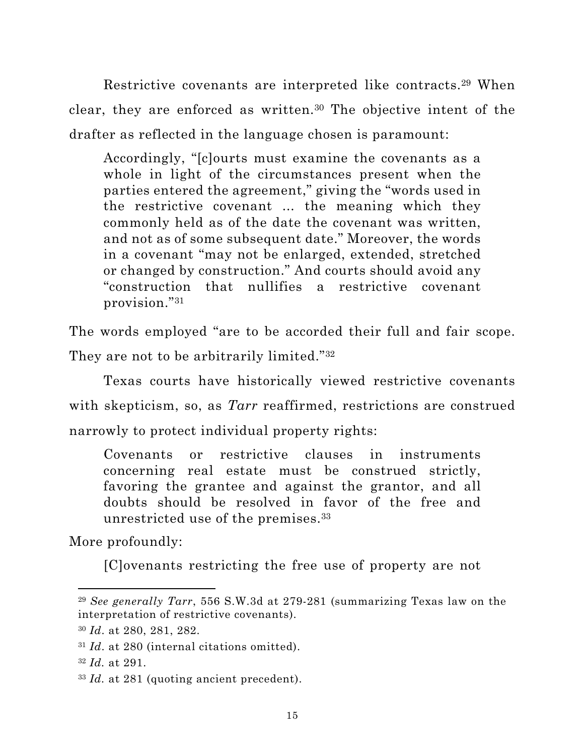Restrictive covenants are interpreted like contracts.29 When clear, they are enforced as written.30 The objective intent of the drafter as reflected in the language chosen is paramount:

Accordingly, "[c]ourts must examine the covenants as a whole in light of the circumstances present when the parties entered the agreement," giving the "words used in the restrictive covenant ... the meaning which they commonly held as of the date the covenant was written, and not as of some subsequent date." Moreover, the words in a covenant "may not be enlarged, extended, stretched or changed by construction." And courts should avoid any "construction that nullifies a restrictive covenant provision."31

The words employed "are to be accorded their full and fair scope.

They are not to be arbitrarily limited."<sup>32</sup>

Texas courts have historically viewed restrictive covenants with skepticism, so, as *Tarr* reaffirmed, restrictions are construed narrowly to protect individual property rights:

Covenants or restrictive clauses in instruments concerning real estate must be construed strictly, favoring the grantee and against the grantor, and all doubts should be resolved in favor of the free and unrestricted use of the premises.33

More profoundly:

[C]ovenants restricting the free use of property are not

<sup>29</sup> *See generally Tarr*, 556 S.W.3d at 279-281 (summarizing Texas law on the interpretation of restrictive covenants).

<sup>30</sup> *Id*. at 280, 281, 282.

<sup>31</sup> *Id*. at 280 (internal citations omitted).

<sup>32</sup> *Id.* at 291.

<sup>33</sup> *Id.* at 281 (quoting ancient precedent).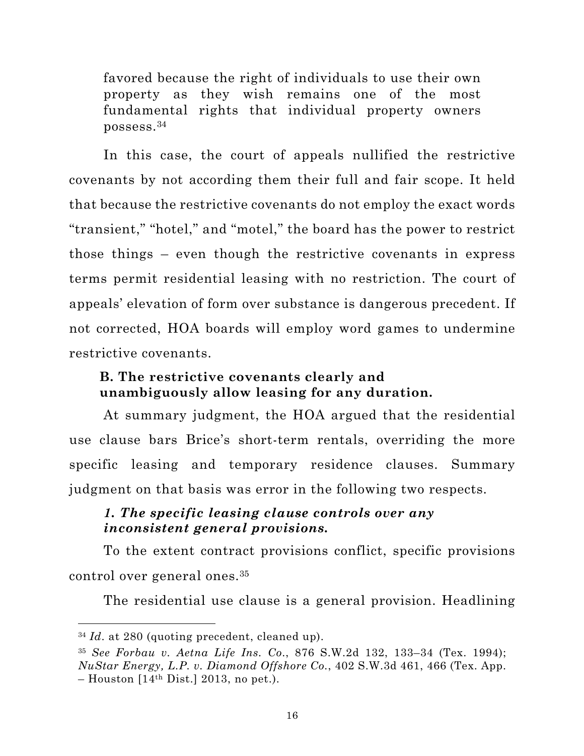<span id="page-28-0"></span>favored because the right of individuals to use their own property as they wish remains one of the most fundamental rights that individual property owners possess.34

In this case, the court of appeals nullified the restrictive covenants by not according them their full and fair scope. It held that because the restrictive covenants do not employ the exact words "transient," "hotel," and "motel," the board has the power to restrict those things – even though the restrictive covenants in express terms permit residential leasing with no restriction. The court of appeals' elevation of form over substance is dangerous precedent. If not corrected, HOA boards will employ word games to undermine restrictive covenants.

## **B. The restrictive covenants clearly and unambiguously allow leasing for any duration.**

At summary judgment, the HOA argued that the residential use clause bars Brice's short-term rentals, overriding the more specific leasing and temporary residence clauses. Summary judgment on that basis was error in the following two respects.

## *1. The specific leasing clause controls over any inconsistent general provisions.*

To the extent contract provisions conflict, specific provisions control over general ones.35

The residential use clause is a general provision. Headlining

<sup>34</sup> *Id*. at 280 (quoting precedent, cleaned up).

<sup>35</sup> *See Forbau v. Aetna Life Ins. Co*., 876 S.W.2d 132, 133–34 (Tex. 1994); *NuStar Energy, L.P. v. Diamond Offshore Co.*, 402 S.W.3d 461, 466 (Tex. App.  $-$  Houston  $[14<sup>th</sup> Dist.]$  2013, no pet.).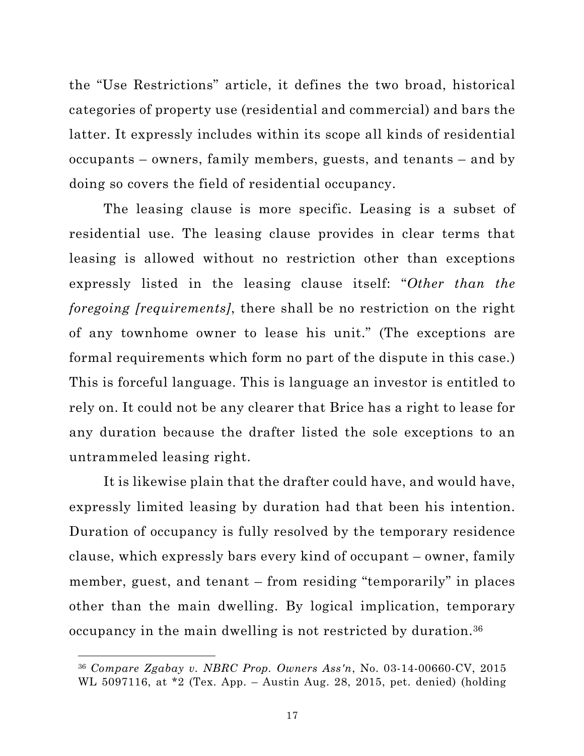<span id="page-29-0"></span>the "Use Restrictions" article, it defines the two broad, historical categories of property use (residential and commercial) and bars the latter. It expressly includes within its scope all kinds of residential occupants – owners, family members, guests, and tenants – and by doing so covers the field of residential occupancy.

The leasing clause is more specific. Leasing is a subset of residential use. The leasing clause provides in clear terms that leasing is allowed without no restriction other than exceptions expressly listed in the leasing clause itself: "*Other than the foregoing [requirements]*, there shall be no restriction on the right of any townhome owner to lease his unit." (The exceptions are formal requirements which form no part of the dispute in this case.) This is forceful language. This is language an investor is entitled to rely on. It could not be any clearer that Brice has a right to lease for any duration because the drafter listed the sole exceptions to an untrammeled leasing right.

It is likewise plain that the drafter could have, and would have, expressly limited leasing by duration had that been his intention. Duration of occupancy is fully resolved by the temporary residence clause, which expressly bars every kind of occupant – owner, family member, guest, and tenant – from residing "temporarily" in places other than the main dwelling. By logical implication, temporary occupancy in the main dwelling is not restricted by duration.36

<sup>36</sup> *Compare Zgabay v. NBRC Prop. Owners Ass'n*, No. 03-14-00660-CV, 2015 WL 5097116, at \*2 (Tex. App. – Austin Aug. 28, 2015, pet. denied) (holding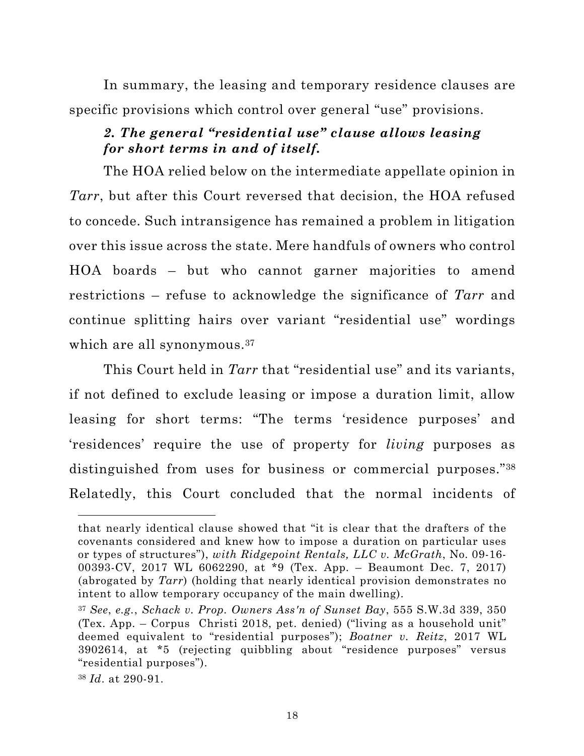<span id="page-30-0"></span>In summary, the leasing and temporary residence clauses are specific provisions which control over general "use" provisions.

## *2. The general "residential use" clause allows leasing for short terms in and of itself.*

The HOA relied below on the intermediate appellate opinion in *Tarr*, but after this Court reversed that decision, the HOA refused to concede. Such intransigence has remained a problem in litigation over this issue across the state. Mere handfuls of owners who control HOA boards – but who cannot garner majorities to amend restrictions – refuse to acknowledge the significance of *Tarr* and continue splitting hairs over variant "residential use" wordings which are all synonymous.<sup>37</sup>

This Court held in *Tarr* that "residential use" and its variants, if not defined to exclude leasing or impose a duration limit, allow leasing for short terms: "The terms 'residence purposes' and 'residences' require the use of property for *living* purposes as distinguished from uses for business or commercial purposes."<sup>38</sup> Relatedly, this Court concluded that the normal incidents of

that nearly identical clause showed that "it is clear that the drafters of the covenants considered and knew how to impose a duration on particular uses or types of structures"), *with Ridgepoint Rentals, LLC v. McGrath*, No. 09-16- 00393-CV, 2017 WL 6062290, at \*9 (Tex. App. – Beaumont Dec. 7, 2017) (abrogated by *Tarr*) (holding that nearly identical provision demonstrates no intent to allow temporary occupancy of the main dwelling).

<sup>37</sup> *See*, *e.g.*, *Schack v. Prop. Owners Ass'n of Sunset Bay*, 555 S.W.3d 339, 350 (Tex. App. – Corpus Christi 2018, pet. denied) ("living as a household unit" deemed equivalent to "residential purposes"); *Boatner v. Reitz*, 2017 WL 3902614, at \*5 (rejecting quibbling about "residence purposes" versus "residential purposes").

<sup>38</sup> *Id*. at 290-91.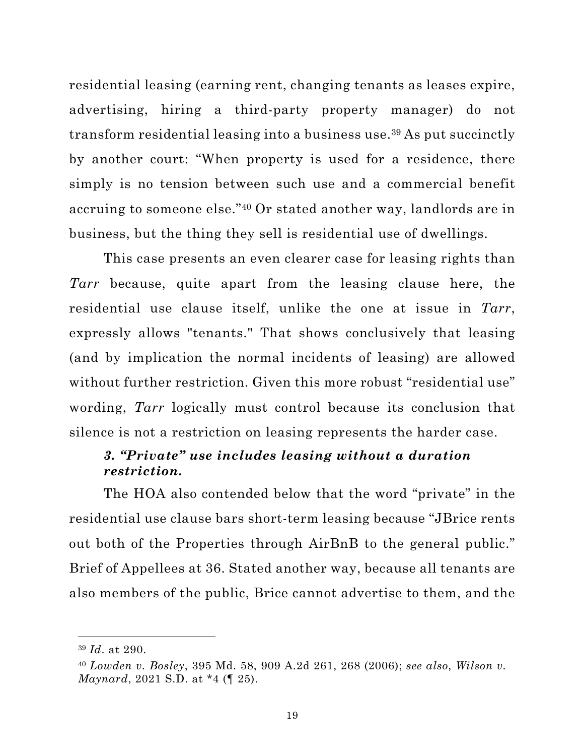<span id="page-31-0"></span>residential leasing (earning rent, changing tenants as leases expire, advertising, hiring a third-party property manager) do not transform residential leasing into a business use.39 As put succinctly by another court: "When property is used for a residence, there simply is no tension between such use and a commercial benefit accruing to someone else."40 Or stated another way, landlords are in business, but the thing they sell is residential use of dwellings.

This case presents an even clearer case for leasing rights than *Tarr* because, quite apart from the leasing clause here, the residential use clause itself, unlike the one at issue in *Tarr*, expressly allows "tenants." That shows conclusively that leasing (and by implication the normal incidents of leasing) are allowed without further restriction. Given this more robust "residential use" wording, *Tarr* logically must control because its conclusion that silence is not a restriction on leasing represents the harder case.

## *3. "Private" use includes leasing without a duration restriction.*

The HOA also contended below that the word "private" in the residential use clause bars short-term leasing because "JBrice rents out both of the Properties through AirBnB to the general public." Brief of Appellees at 36. Stated another way, because all tenants are also members of the public, Brice cannot advertise to them, and the

<sup>39</sup> *Id*. at 290.

<sup>40</sup> *Lowden v. Bosley*, 395 Md. 58, 909 A.2d 261, 268 (2006); *see also*, *Wilson v. Maynard*, 2021 S.D. at \*4 (¶ 25).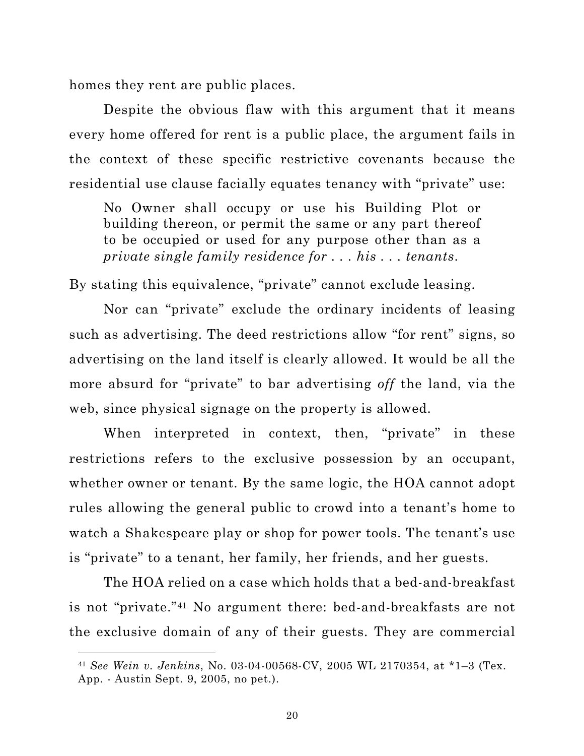<span id="page-32-0"></span>homes they rent are public places.

Despite the obvious flaw with this argument that it means every home offered for rent is a public place, the argument fails in the context of these specific restrictive covenants because the residential use clause facially equates tenancy with "private" use:

No Owner shall occupy or use his Building Plot or building thereon, or permit the same or any part thereof to be occupied or used for any purpose other than as a *private single family residence for . . . his . . . tenants*.

By stating this equivalence, "private" cannot exclude leasing.

Nor can "private" exclude the ordinary incidents of leasing such as advertising. The deed restrictions allow "for rent" signs, so advertising on the land itself is clearly allowed. It would be all the more absurd for "private" to bar advertising *off* the land, via the web, since physical signage on the property is allowed.

When interpreted in context, then, "private" in these restrictions refers to the exclusive possession by an occupant, whether owner or tenant. By the same logic, the HOA cannot adopt rules allowing the general public to crowd into a tenant's home to watch a Shakespeare play or shop for power tools. The tenant's use is "private" to a tenant, her family, her friends, and her guests.

The HOA relied on a case which holds that a bed-and-breakfast is not "private."41 No argument there: bed-and-breakfasts are not the exclusive domain of any of their guests. They are commercial

<sup>41</sup> *See Wein v. Jenkins*, No. 03-04-00568-CV, 2005 WL 2170354, at \*1–3 (Tex. App. - Austin Sept. 9, 2005, no pet.).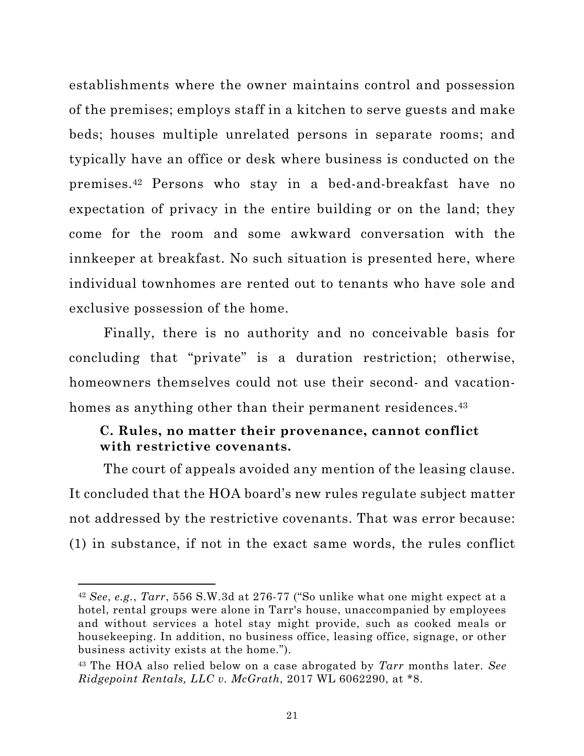<span id="page-33-0"></span>establishments where the owner maintains control and possession of the premises; employs staff in a kitchen to serve guests and make beds; houses multiple unrelated persons in separate rooms; and typically have an office or desk where business is conducted on the premises.42 Persons who stay in a bed-and-breakfast have no expectation of privacy in the entire building or on the land; they come for the room and some awkward conversation with the innkeeper at breakfast. No such situation is presented here, where individual townhomes are rented out to tenants who have sole and exclusive possession of the home.

Finally, there is no authority and no conceivable basis for concluding that "private" is a duration restriction; otherwise, homeowners themselves could not use their second- and vacationhomes as anything other than their permanent residences.<sup>43</sup>

## **C. Rules, no matter their provenance, cannot conflict with restrictive covenants.**

The court of appeals avoided any mention of the leasing clause. It concluded that the HOA board's new rules regulate subject matter not addressed by the restrictive covenants. That was error because: (1) in substance, if not in the exact same words, the rules conflict

<sup>42</sup> *See*, *e.g.*, *Tarr*, 556 S.W.3d at 276-77 ("So unlike what one might expect at a hotel, rental groups were alone in Tarr's house, unaccompanied by employees and without services a hotel stay might provide, such as cooked meals or housekeeping. In addition, no business office, leasing office, signage, or other business activity exists at the home.").

<sup>43</sup> The HOA also relied below on a case abrogated by *Tarr* months later. *See Ridgepoint Rentals, LLC v. McGrath*, 2017 WL 6062290, at \*8.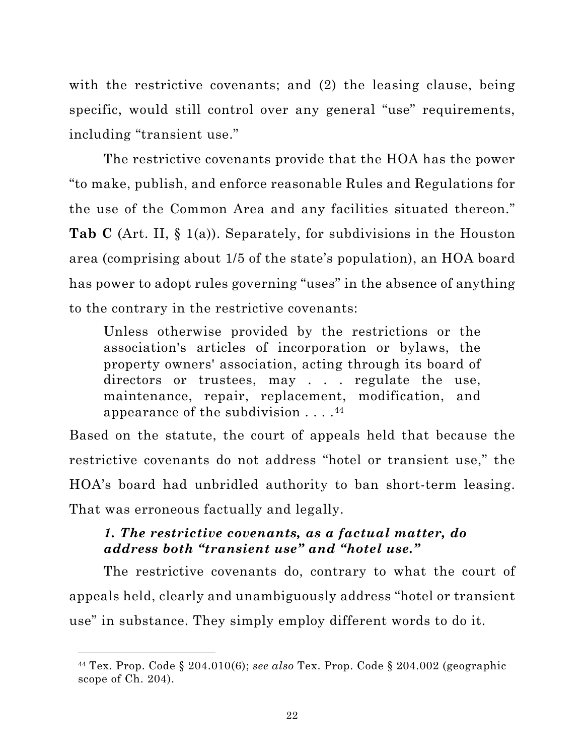<span id="page-34-0"></span>with the restrictive covenants; and (2) the leasing clause, being specific, would still control over any general "use" requirements, including "transient use."

The restrictive covenants provide that the HOA has the power "to make, publish, and enforce reasonable Rules and Regulations for the use of the Common Area and any facilities situated thereon." **Tab C** (Art. II, § 1(a)). Separately, for subdivisions in the Houston area (comprising about 1/5 of the state's population), an HOA board has power to adopt rules governing "uses" in the absence of anything to the contrary in the restrictive covenants:

Unless otherwise provided by the restrictions or the association's articles of incorporation or bylaws, the property owners' association, acting through its board of directors or trustees, may . . . regulate the use, maintenance, repair, replacement, modification, and appearance of the subdivision  $\dots$ .<sup>44</sup>

Based on the statute, the court of appeals held that because the restrictive covenants do not address "hotel or transient use," the HOA's board had unbridled authority to ban short-term leasing. That was erroneous factually and legally.

## *1. The restrictive covenants, as a factual matter, do address both "transient use" and "hotel use."*

The restrictive covenants do, contrary to what the court of appeals held, clearly and unambiguously address "hotel or transient use" in substance. They simply employ different words to do it.

<sup>44</sup> Tex. Prop. Code § 204.010(6); *see also* Tex. Prop. Code § 204.002 (geographic scope of Ch. 204).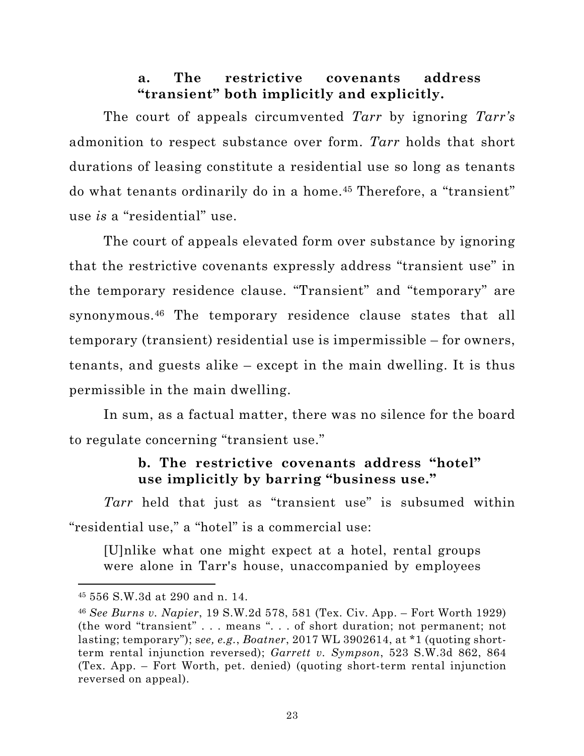## **a. The restrictive covenants address "transient" both implicitly and explicitly.**

<span id="page-35-0"></span>The court of appeals circumvented *Tarr* by ignoring *Tarr's* admonition to respect substance over form. *Tarr* holds that short durations of leasing constitute a residential use so long as tenants do what tenants ordinarily do in a home.45 Therefore, a "transient" use *is* a "residential" use.

The court of appeals elevated form over substance by ignoring that the restrictive covenants expressly address "transient use" in the temporary residence clause. "Transient" and "temporary" are synonymous.46 The temporary residence clause states that all temporary (transient) residential use is impermissible – for owners, tenants, and guests alike – except in the main dwelling. It is thus permissible in the main dwelling.

In sum, as a factual matter, there was no silence for the board to regulate concerning "transient use."

## **b. The restrictive covenants address "hotel" use implicitly by barring "business use."**

*Tarr* held that just as "transient use" is subsumed within "residential use," a "hotel" is a commercial use:

[U]nlike what one might expect at a hotel, rental groups were alone in Tarr's house, unaccompanied by employees

<sup>45</sup> 556 S.W.3d at 290 and n. 14.

<sup>46</sup> *See Burns v. Napier*, 19 S.W.2d 578, 581 (Tex. Civ. App. – Fort Worth 1929) (the word "transient" . . . means ". . . of short duration; not permanent; not lasting; temporary"); s*ee, e.g.*, *Boatner*, 2017 WL 3902614, at \*1 (quoting shortterm rental injunction reversed); *Garrett v. Sympson*, 523 S.W.3d 862, 864 (Tex. App. – Fort Worth, pet. denied) (quoting short-term rental injunction reversed on appeal).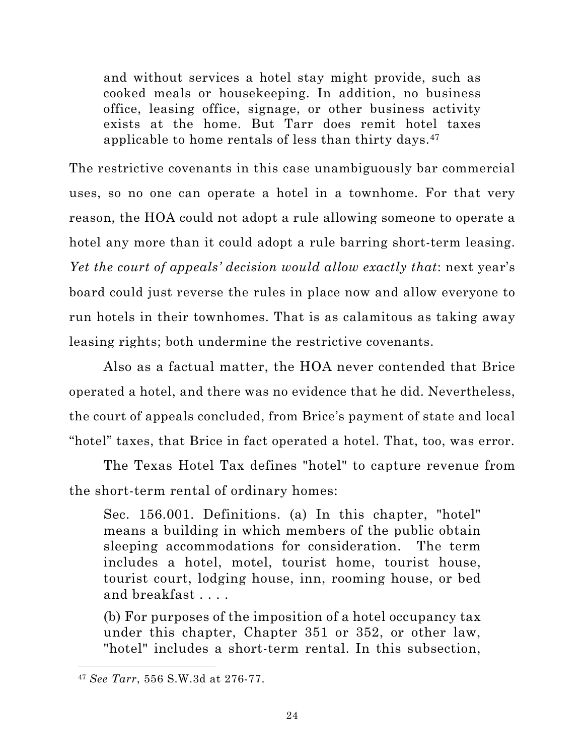and without services a hotel stay might provide, such as cooked meals or housekeeping. In addition, no business office, leasing office, signage, or other business activity exists at the home. But Tarr does remit hotel taxes applicable to home rentals of less than thirty days.47

The restrictive covenants in this case unambiguously bar commercial uses, so no one can operate a hotel in a townhome. For that very reason, the HOA could not adopt a rule allowing someone to operate a hotel any more than it could adopt a rule barring short-term leasing. *Yet the court of appeals' decision would allow exactly that*: next year's board could just reverse the rules in place now and allow everyone to run hotels in their townhomes. That is as calamitous as taking away leasing rights; both undermine the restrictive covenants.

Also as a factual matter, the HOA never contended that Brice operated a hotel, and there was no evidence that he did. Nevertheless, the court of appeals concluded, from Brice's payment of state and local "hotel" taxes, that Brice in fact operated a hotel. That, too, was error.

The Texas Hotel Tax defines "hotel" to capture revenue from the short-term rental of ordinary homes:

Sec. 156.001. Definitions. (a) In this chapter, "hotel" means a building in which members of the public obtain sleeping accommodations for consideration. The term includes a hotel, motel, tourist home, tourist house, tourist court, lodging house, inn, rooming house, or bed and breakfast . . . .

(b) For purposes of the imposition of a hotel occupancy tax under this chapter, Chapter 351 or 352, or other law, "hotel" includes a short-term rental. In this subsection,

<sup>47</sup> *See Tarr*, 556 S.W.3d at 276-77.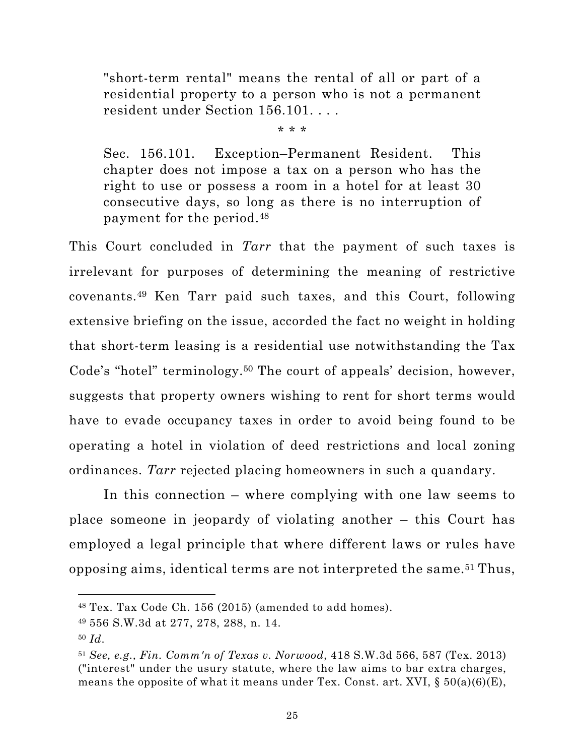<span id="page-37-0"></span>"short-term rental" means the rental of all or part of a residential property to a person who is not a permanent resident under Section 156.101. . . .

\* \* \*

Sec. 156.101. Exception–Permanent Resident. This chapter does not impose a tax on a person who has the right to use or possess a room in a hotel for at least 30 consecutive days, so long as there is no interruption of payment for the period.48

This Court concluded in *Tarr* that the payment of such taxes is irrelevant for purposes of determining the meaning of restrictive covenants.49 Ken Tarr paid such taxes, and this Court, following extensive briefing on the issue, accorded the fact no weight in holding that short-term leasing is a residential use notwithstanding the Tax Code's "hotel" terminology.<sup>50</sup> The court of appeals' decision, however, suggests that property owners wishing to rent for short terms would have to evade occupancy taxes in order to avoid being found to be operating a hotel in violation of deed restrictions and local zoning ordinances. *Tarr* rejected placing homeowners in such a quandary.

In this connection – where complying with one law seems to place someone in jeopardy of violating another – this Court has employed a legal principle that where different laws or rules have opposing aims, identical terms are not interpreted the same.51 Thus,

<sup>48</sup> Tex. Tax Code Ch. 156 (2015) (amended to add homes).

<sup>49</sup> 556 S.W.3d at 277, 278, 288, n. 14.

<sup>50</sup> *Id*.

<sup>51</sup> *See, e.g., Fin. Comm'n of Texas v. Norwood*, 418 S.W.3d 566, 587 (Tex. 2013) ("interest" under the usury statute, where the law aims to bar extra charges, means the opposite of what it means under Tex. Const. art. XVI,  $\S 50(a)(6)(E)$ ,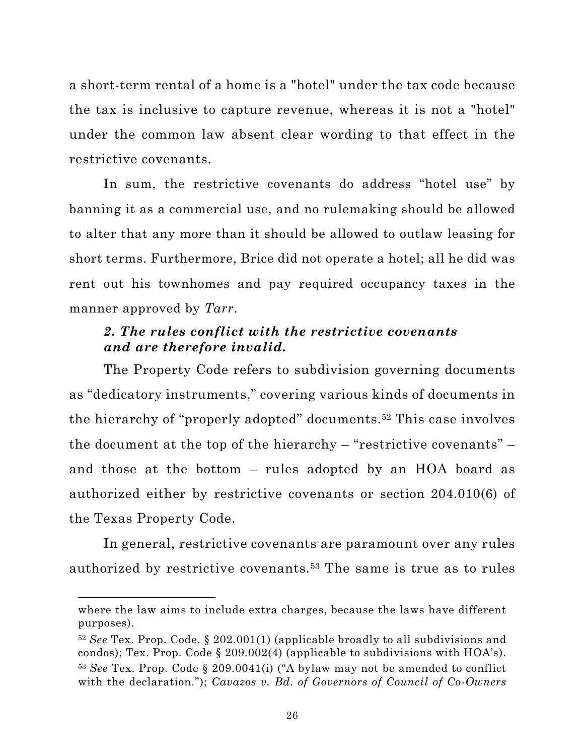<span id="page-38-0"></span>a short-term rental of a home is a "hotel" under the tax code because the tax is inclusive to capture revenue, whereas it is not a "hotel" under the common law absent clear wording to that effect in the restrictive covenants.

In sum, the restrictive covenants do address "hotel use" by banning it as a commercial use, and no rulemaking should be allowed to alter that any more than it should be allowed to outlaw leasing for short terms. Furthermore, Brice did not operate a hotel; all he did was rent out his townhomes and pay required occupancy taxes in the manner approved by *Tarr*.

## *2. The rules conflict with the restrictive covenants and are therefore invalid.*

The Property Code refers to subdivision governing documents as "dedicatory instruments," covering various kinds of documents in the hierarchy of "properly adopted" documents.52 This case involves the document at the top of the hierarchy – "restrictive covenants" – and those at the bottom – rules adopted by an HOA board as authorized either by restrictive covenants or section 204.010(6) of the Texas Property Code.

In general, restrictive covenants are paramount over any rules authorized by restrictive covenants.53 The same is true as to rules

where the law aims to include extra charges, because the laws have different purposes).

<sup>52</sup> *See* Tex. Prop. Code. § 202.001(1) (applicable broadly to all subdivisions and condos); Tex. Prop. Code  $\S 209.002(4)$  (applicable to subdivisions with  $HOA's$ ). <sup>53</sup> *See* Tex. Prop. Code § 209.0041(i) ("A bylaw may not be amended to conflict with the declaration."); *Cavazos v. Bd. of Governors of Council of Co-Owners*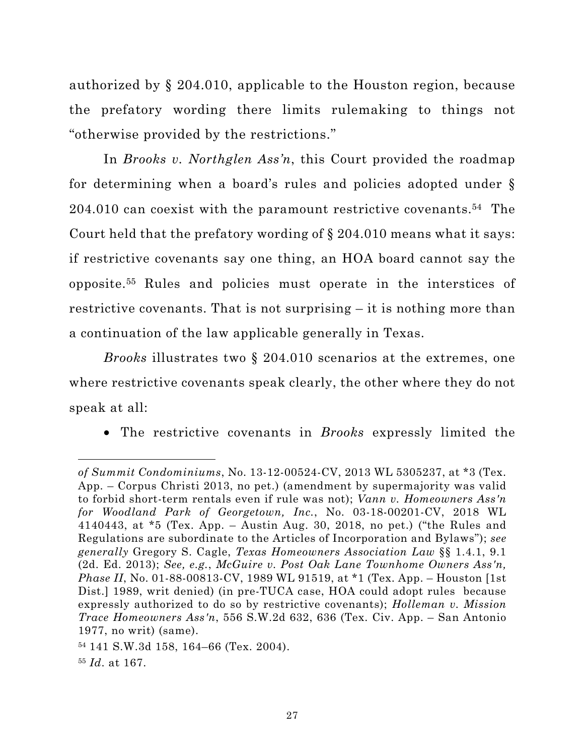<span id="page-39-0"></span>authorized by § 204.010, applicable to the Houston region, because the prefatory wording there limits rulemaking to things not "otherwise provided by the restrictions."

In *Brooks v. Northglen Ass'n*, this Court provided the roadmap for determining when a board's rules and policies adopted under § 204.010 can coexist with the paramount restrictive covenants.54 The Court held that the prefatory wording of § 204.010 means what it says: if restrictive covenants say one thing, an HOA board cannot say the opposite.55 Rules and policies must operate in the interstices of restrictive covenants. That is not surprising – it is nothing more than a continuation of the law applicable generally in Texas.

*Brooks* illustrates two § 204.010 scenarios at the extremes, one where restrictive covenants speak clearly, the other where they do not speak at all:

• The restrictive covenants in *Brooks* expressly limited the

*of Summit Condominiums*, No. 13-12-00524-CV, 2013 WL 5305237, at \*3 (Tex. App. – Corpus Christi 2013, no pet.) (amendment by supermajority was valid to forbid short-term rentals even if rule was not); *Vann v. Homeowners Ass'n for Woodland Park of Georgetown, Inc.*, No. 03-18-00201-CV, 2018 WL 4140443, at \*5 (Tex. App. – Austin Aug. 30, 2018, no pet.) ("the Rules and Regulations are subordinate to the Articles of Incorporation and Bylaws"); *see generally* Gregory S. Cagle, *Texas Homeowners Association Law* §§ 1.4.1, 9.1 (2d. Ed. 2013); *See, e.g.*, *McGuire v. Post Oak Lane Townhome Owners Ass'n, Phase II*, No. 01-88-00813-CV, 1989 WL 91519, at \*1 (Tex. App. – Houston [1st Dist.] 1989, writ denied) (in pre-TUCA case, HOA could adopt rules because expressly authorized to do so by restrictive covenants); *Holleman v. Mission Trace Homeowners Ass'n*, 556 S.W.2d 632, 636 (Tex. Civ. App. – San Antonio 1977, no writ) (same).

<sup>54</sup> 141 S.W.3d 158, 164–66 (Tex. 2004).

<sup>55</sup> *Id*. at 167.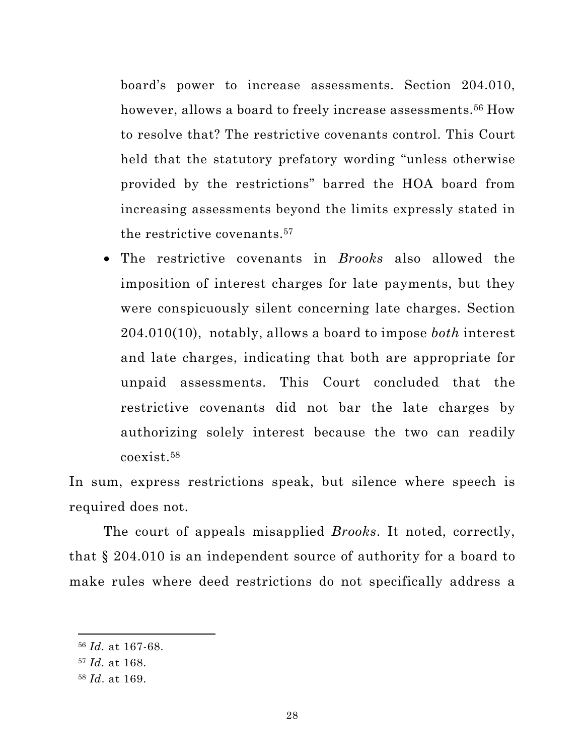<span id="page-40-0"></span>board's power to increase assessments. Section 204.010, however, allows a board to freely increase assessments.<sup>56</sup> How to resolve that? The restrictive covenants control. This Court held that the statutory prefatory wording "unless otherwise provided by the restrictions" barred the HOA board from increasing assessments beyond the limits expressly stated in the restrictive covenants.57

• The restrictive covenants in *Brooks* also allowed the imposition of interest charges for late payments, but they were conspicuously silent concerning late charges. Section 204.010(10), notably, allows a board to impose *both* interest and late charges, indicating that both are appropriate for unpaid assessments. This Court concluded that the restrictive covenants did not bar the late charges by authorizing solely interest because the two can readily coexist.58

In sum, express restrictions speak, but silence where speech is required does not.

The court of appeals misapplied *Brooks*. It noted, correctly, that § 204.010 is an independent source of authority for a board to make rules where deed restrictions do not specifically address a

<sup>56</sup> *Id.* at 167-68.

<sup>57</sup> *Id.* at 168.

<sup>58</sup> *Id*. at 169.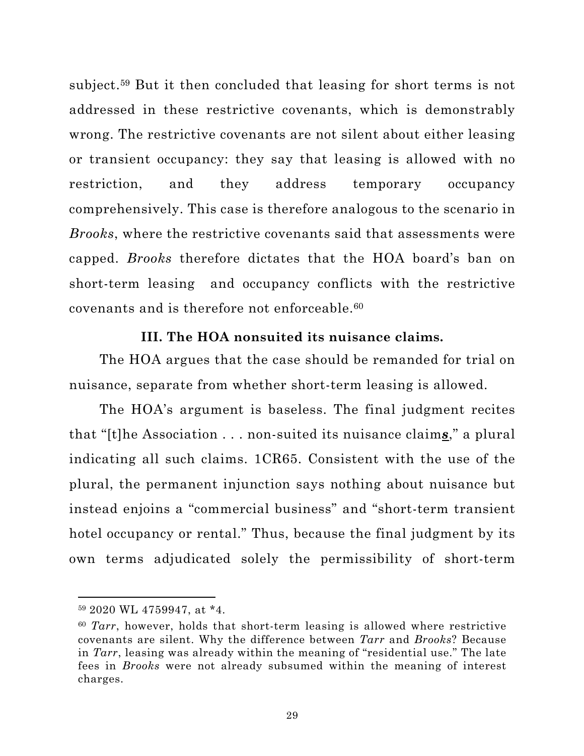<span id="page-41-0"></span>subject.59 But it then concluded that leasing for short terms is not addressed in these restrictive covenants, which is demonstrably wrong. The restrictive covenants are not silent about either leasing or transient occupancy: they say that leasing is allowed with no restriction, and they address temporary occupancy comprehensively. This case is therefore analogous to the scenario in *Brooks*, where the restrictive covenants said that assessments were capped. *Brooks* therefore dictates that the HOA board's ban on short-term leasing and occupancy conflicts with the restrictive covenants and is therefore not enforceable.60

#### **III. The HOA nonsuited its nuisance claims.**

The HOA argues that the case should be remanded for trial on nuisance, separate from whether short-term leasing is allowed.

The HOA's argument is baseless. The final judgment recites that "[t]he Association . . . non-suited its nuisance claim*s*," a plural indicating all such claims. 1CR65. Consistent with the use of the plural, the permanent injunction says nothing about nuisance but instead enjoins a "commercial business" and "short-term transient hotel occupancy or rental." Thus, because the final judgment by its own terms adjudicated solely the permissibility of short-term

<sup>59</sup> 2020 WL 4759947, at \*4.

<sup>60</sup> *Tarr*, however, holds that short-term leasing is allowed where restrictive covenants are silent. Why the difference between *Tarr* and *Brooks*? Because in *Tarr*, leasing was already within the meaning of "residential use." The late fees in *Brooks* were not already subsumed within the meaning of interest charges.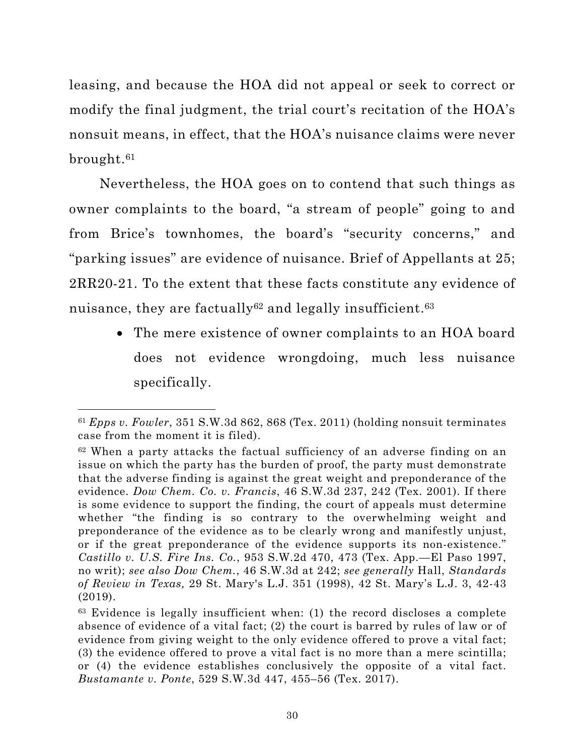<span id="page-42-0"></span>leasing, and because the HOA did not appeal or seek to correct or modify the final judgment, the trial court's recitation of the HOA's nonsuit means, in effect, that the HOA's nuisance claims were never brought.61

Nevertheless, the HOA goes on to contend that such things as owner complaints to the board, "a stream of people" going to and from Brice's townhomes, the board's "security concerns," and "parking issues" are evidence of nuisance. Brief of Appellants at 25; 2RR20-21. To the extent that these facts constitute any evidence of nuisance, they are factually<sup>62</sup> and legally insufficient.<sup>63</sup>

> • The mere existence of owner complaints to an HOA board does not evidence wrongdoing, much less nuisance specifically.

<sup>61</sup> *Epps v. Fowler*, 351 S.W.3d 862, 868 (Tex. 2011) (holding nonsuit terminates case from the moment it is filed).

 $62$  When a party attacks the factual sufficiency of an adverse finding on an issue on which the party has the burden of proof, the party must demonstrate that the adverse finding is against the great weight and preponderance of the evidence. *Dow Chem. Co. v. Francis*, 46 S.W.3d 237, 242 (Tex. 2001). If there is some evidence to support the finding, the court of appeals must determine whether "the finding is so contrary to the overwhelming weight and preponderance of the evidence as to be clearly wrong and manifestly unjust, or if the great preponderance of the evidence supports its non-existence." *Castillo v. U.S. Fire Ins. Co.*, 953 S.W.2d 470, 473 (Tex. App.—El Paso 1997, no writ); *see also Dow Chem.*, 46 S.W.3d at 242; *see generally* Hall, *Standards of Review in Texas,* 29 St. Mary's L.J. 351 (1998), 42 St. Mary's L.J. 3, 42-43 (2019).

 $63$  Evidence is legally insufficient when: (1) the record discloses a complete absence of evidence of a vital fact; (2) the court is barred by rules of law or of evidence from giving weight to the only evidence offered to prove a vital fact; (3) the evidence offered to prove a vital fact is no more than a mere scintilla; or (4) the evidence establishes conclusively the opposite of a vital fact. *Bustamante v. Ponte*, 529 S.W.3d 447, 455–56 (Tex. 2017).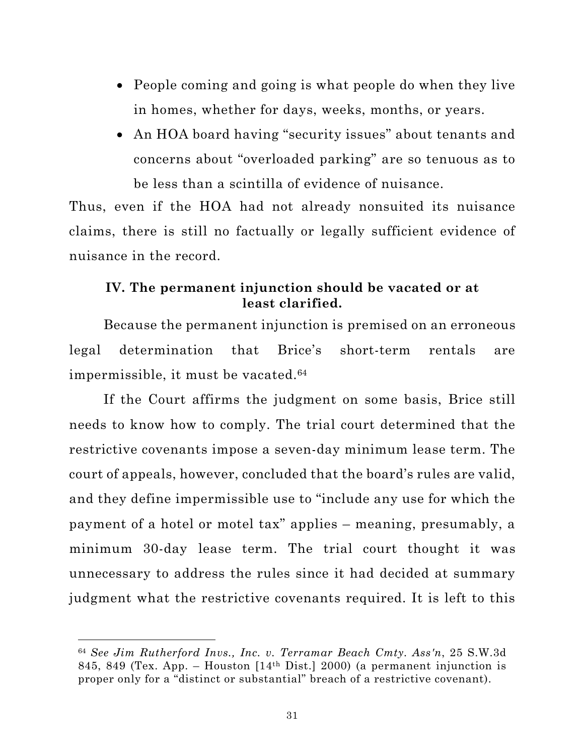- <span id="page-43-0"></span>• People coming and going is what people do when they live in homes, whether for days, weeks, months, or years.
- An HOA board having "security issues" about tenants and concerns about "overloaded parking" are so tenuous as to be less than a scintilla of evidence of nuisance.

Thus, even if the HOA had not already nonsuited its nuisance claims, there is still no factually or legally sufficient evidence of nuisance in the record.

## **IV. The permanent injunction should be vacated or at least clarified.**

Because the permanent injunction is premised on an erroneous legal determination that Brice's short-term rentals are impermissible, it must be vacated.<sup>64</sup>

If the Court affirms the judgment on some basis, Brice still needs to know how to comply. The trial court determined that the restrictive covenants impose a seven-day minimum lease term. The court of appeals, however, concluded that the board's rules are valid, and they define impermissible use to "include any use for which the payment of a hotel or motel tax" applies – meaning, presumably, a minimum 30-day lease term. The trial court thought it was unnecessary to address the rules since it had decided at summary judgment what the restrictive covenants required. It is left to this

<sup>64</sup> *See Jim Rutherford Invs., Inc. v. Terramar Beach Cmty. Ass'n*, 25 S.W.3d 845, 849 (Tex. App. – Houston  $[14<sup>th</sup> Dist.]$  2000) (a permanent injunction is proper only for a "distinct or substantial" breach of a restrictive covenant).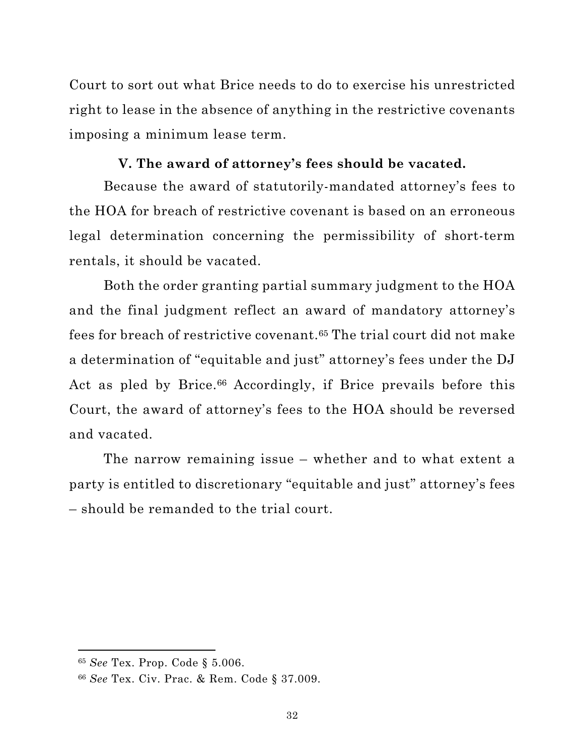<span id="page-44-0"></span>Court to sort out what Brice needs to do to exercise his unrestricted right to lease in the absence of anything in the restrictive covenants imposing a minimum lease term.

### **V. The award of attorney's fees should be vacated.**

Because the award of statutorily-mandated attorney's fees to the HOA for breach of restrictive covenant is based on an erroneous legal determination concerning the permissibility of short-term rentals, it should be vacated.

Both the order granting partial summary judgment to the HOA and the final judgment reflect an award of mandatory attorney's fees for breach of restrictive covenant.65 The trial court did not make a determination of "equitable and just" attorney's fees under the DJ Act as pled by Brice.<sup>66</sup> Accordingly, if Brice prevails before this Court, the award of attorney's fees to the HOA should be reversed and vacated.

The narrow remaining issue – whether and to what extent a party is entitled to discretionary "equitable and just" attorney's fees – should be remanded to the trial court.

<sup>65</sup> *See* Tex. Prop. Code § 5.006.

<sup>66</sup> *See* Tex. Civ. Prac. & Rem. Code § 37.009.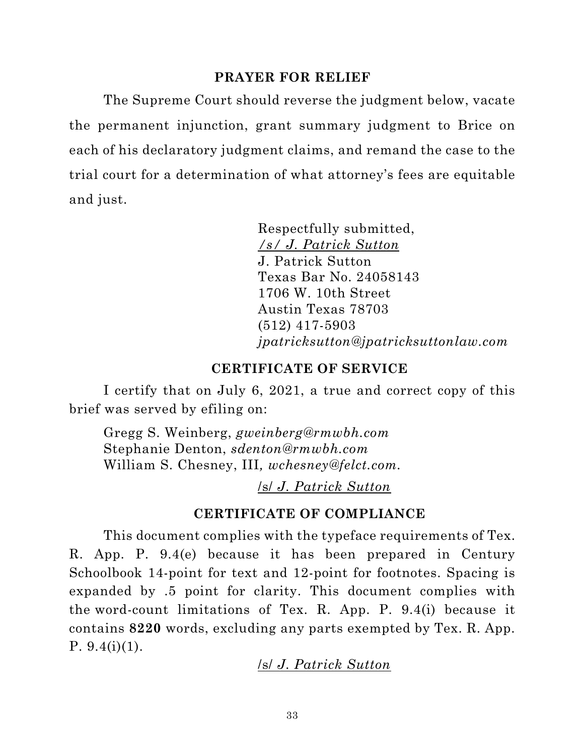#### **PRAYER FOR RELIEF**

<span id="page-45-0"></span>The Supreme Court should reverse the judgment below, vacate the permanent injunction, grant summary judgment to Brice on each of his declaratory judgment claims, and remand the case to the trial court for a determination of what attorney's fees are equitable and just.

> Respectfully submitted, */s/ J. Patrick Sutton* J. Patrick Sutton Texas Bar No. 24058143 1706 W. 10th Street Austin Texas 78703 (512) 417-5903 *jpatricksutton@jpatricksuttonlaw.com*

#### **CERTIFICATE OF SERVICE**

I certify that on July 6, 2021, a true and correct copy of this brief was served by efiling on:

Gregg S. Weinberg, *gweinberg@rmwbh.com* Stephanie Denton, *sdenton@rmwbh.com* William S. Chesney, III*, wchesney@felct.com.*

/s/ *J. Patrick Sutton*

### **CERTIFICATE OF COMPLIANCE**

This document complies with the typeface requirements of Tex. R. App. P. 9.4(e) because it has been prepared in Century Schoolbook 14-point for text and 12-point for footnotes. Spacing is expanded by .5 point for clarity. This document complies with the word-count limitations of Tex. R. App. P. 9.4(i) because it contains **8220** words, excluding any parts exempted by Tex. R. App. P.  $9.4(i)(1)$ .

### /s/ *J. Patrick Sutton*